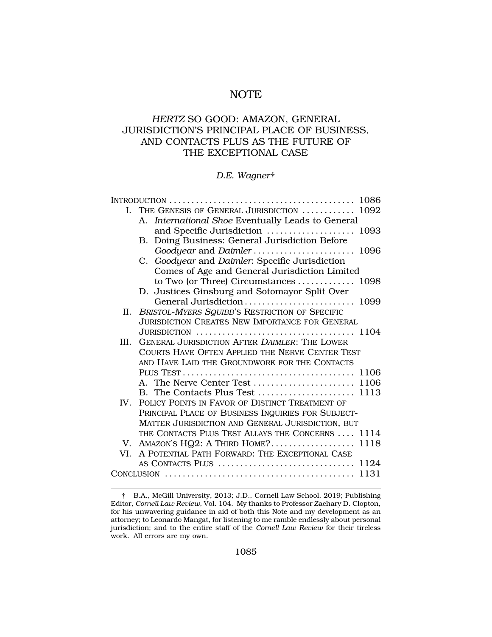# NOTE

# *HERTZ* SO GOOD: AMAZON, GENERAL JURISDICTION'S PRINCIPAL PLACE OF BUSINESS, AND CONTACTS PLUS AS THE FUTURE OF THE EXCEPTIONAL CASE

#### *D.E. Wagner*†

|      | I. THE GENESIS OF GENERAL JURISDICTION  1092                                                     |
|------|--------------------------------------------------------------------------------------------------|
|      | A. International Shoe Eventually Leads to General                                                |
|      |                                                                                                  |
|      | Doing Business: General Jurisdiction Before<br>B.                                                |
|      | Goodyear and Daimler 1096                                                                        |
|      | C. Goodyear and Daimler: Specific Jurisdiction                                                   |
|      | Comes of Age and General Jurisdiction Limited                                                    |
|      | to Two (or Three) Circumstances  1098                                                            |
|      | D. Justices Ginsburg and Sotomayor Split Over                                                    |
|      | General Jurisdiction 1099                                                                        |
| II.  | BRISTOL-MYERS SQUIBB'S RESTRICTION OF SPECIFIC                                                   |
|      | <b>JURISDICTION CREATES NEW IMPORTANCE FOR GENERAL</b>                                           |
|      | JURISDICTION $\ldots \ldots \ldots \ldots \ldots \ldots \ldots \ldots \ldots \ldots \ldots 1104$ |
| III. | <b>GENERAL JURISDICTION AFTER DAIMLER: THE LOWER</b>                                             |
|      | COURTS HAVE OFTEN APPLIED THE NERVE CENTER TEST                                                  |
|      | AND HAVE LAID THE GROUNDWORK FOR THE CONTACTS                                                    |
|      |                                                                                                  |
|      |                                                                                                  |
|      |                                                                                                  |
| IV.  | POLICY POINTS IN FAVOR OF DISTINCT TREATMENT OF                                                  |
|      | PRINCIPAL PLACE OF BUSINESS INQUIRIES FOR SUBJECT-                                               |
|      | MATTER JURISDICTION AND GENERAL JURISDICTION, BUT                                                |
|      | THE CONTACTS PLUS TEST ALLAYS THE CONCERNS  1114                                                 |
|      | V. AMAZON'S HQ2: A THIRD HOME?<br>1118                                                           |
|      | VI. A POTENTIAL PATH FORWARD: THE EXCEPTIONAL CASE                                               |
|      |                                                                                                  |
|      |                                                                                                  |

<sup>†</sup> B.A., McGill University, 2013; J.D., Cornell Law School, 2019; Publishing Editor, *Cornell Law Review*, Vol. 104. My thanks to Professor Zachary D. Clopton, for his unwavering guidance in aid of both this Note and my development as an attorney; to Leonardo Mangat, for listening to me ramble endlessly about personal jurisdiction; and to the entire staff of the *Cornell Law Review* for their tireless work. All errors are my own.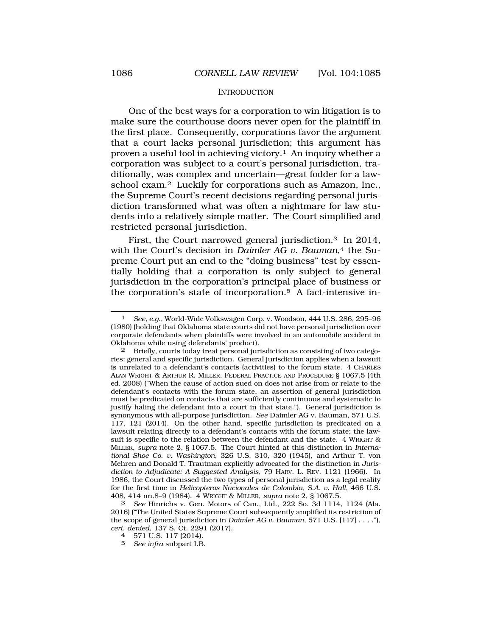#### **INTRODUCTION**

<span id="page-1-0"></span>One of the best ways for a corporation to win litigation is to make sure the courthouse doors never open for the plaintiff in the first place. Consequently, corporations favor the argument that a court lacks personal jurisdiction; this argument has proven a useful tool in achieving victory.<sup>1</sup> An inquiry whether a corporation was subject to a court's personal jurisdiction, traditionally, was complex and uncertain—great fodder for a lawschool exam.<sup>2</sup> Luckily for corporations such as Amazon, Inc., the Supreme Court's recent decisions regarding personal jurisdiction transformed what was often a nightmare for law students into a relatively simple matter. The Court simplified and restricted personal jurisdiction.

First, the Court narrowed general jurisdiction.3 In 2014, with the Court's decision in *Daimler AG v. Bauman*,<sup>4</sup> the Supreme Court put an end to the "doing business" test by essentially holding that a corporation is only subject to general jurisdiction in the corporation's principal place of business or the corporation's state of incorporation.5 A fact-intensive in-

2 Briefly, courts today treat personal jurisdiction as consisting of two categories: general and specific jurisdiction. General jurisdiction applies when a lawsuit is unrelated to a defendant's contacts (activities) to the forum state. 4 CHARLES ALAN WRIGHT & ARTHUR R. MILLER, FEDERAL PRACTICE AND PROCEDURE § 1067.5 (4th ed. 2008) ("When the cause of action sued on does not arise from or relate to the defendant's contacts with the forum state, an assertion of general jurisdiction must be predicated on contacts that are sufficiently continuous and systematic to justify haling the defendant into a court in that state."). General jurisdiction is synonymous with all-purpose jurisdiction. *See* Daimler AG v. Bauman, 571 U.S. 117, 121 (2014). On the other hand, specific jurisdiction is predicated on a lawsuit relating directly to a defendant's contacts with the forum state; the lawsuit is specific to the relation between the defendant and the state. 4 WRIGHT & MILLER, *supra* note 2, § 1067.5. The Court hinted at this distinction in *International Shoe Co. v. Washington*, 326 U.S. 310, 320 (1945), and Arthur T. von Mehren and Donald T. Trautman explicitly advocated for the distinction in *Jurisdiction to Adjudicate: A Suggested Analysis*, 79 HARV. L. REV. 1121 (1966). In 1986, the Court discussed the two types of personal jurisdiction as a legal reality for the first time in *Helicopteros Nacionales de Colombia, S.A. v. Hall*, 466 U.S. 408, 414 nn.8–9 (1984). 4 WRIGHT & MILLER, *supra* note 2, § 1067.5.

3 *See* Hinrichs v. Gen. Motors of Can., Ltd., 222 So. 3d 1114, 1124 (Ala. 2016) ("The United States Supreme Court subsequently amplified its restriction of the scope of general jurisdiction in *Daimler AG v. Bauman*, 571 U.S. [117] . . . ."), *cert. denied*, 137 S. Ct. 2291 (2017). 4 571 U.S. 117 (2014).

- 
- 5 *See infra* subpart I.B.

<sup>1</sup> *See, e.g.*, World-Wide Volkswagen Corp. v. Woodson, 444 U.S. 286, 295–96 (1980) (holding that Oklahoma state courts did not have personal jurisdiction over corporate defendants when plaintiffs were involved in an automobile accident in Oklahoma while using defendants' product).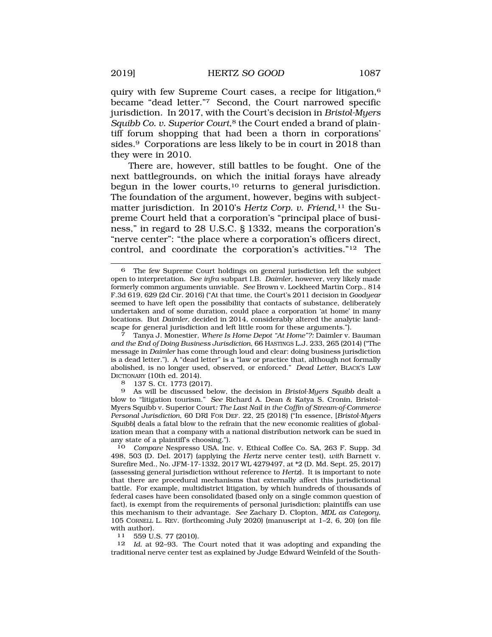quiry with few Supreme Court cases, a recipe for litigation,6 became "dead letter."7 Second, the Court narrowed specific jurisdiction. In 2017, with the Court's decision in *Bristol-Myers Squibb Co. v. Superior Court*,<sup>8</sup> the Court ended a brand of plaintiff forum shopping that had been a thorn in corporations' sides.9 Corporations are less likely to be in court in 2018 than they were in 2010.

There are, however, still battles to be fought. One of the next battlegrounds, on which the initial forays have already begun in the lower courts,<sup>10</sup> returns to general jurisdiction. The foundation of the argument, however, begins with subjectmatter jurisdiction. In 2010's *Hertz Corp. v. Friend*,<sup>11</sup> the Supreme Court held that a corporation's "principal place of business," in regard to 28 U.S.C. § 1332, means the corporation's "nerve center": "the place where a corporation's officers direct, control, and coordinate the corporation's activities."12 The

scape for general jurisdiction and left little room for these arguments."). 7 Tanya J. Monestier, *Where Is Home Depot "At Home"?:* Daimler v. Bauman *and the End of Doing Business Jurisdiction*, 66 HASTINGS L.J. 233, 265 (2014) ("The message in *Daimler* has come through loud and clear: doing business jurisdiction is a dead letter."). A "dead letter" is a "law or practice that, although not formally abolished, is no longer used, observed, or enforced." *Dead Letter*, BLACK'S LAW DICTIONARY (10th ed. 2014).<br>8 137 S. Ct. 1773 (201

137 S. Ct. 1773 (2017).

9 As will be discussed below, the decision in *Bristol-Myers Squibb* dealt a blow to "litigation tourism." *See* Richard A. Dean & Katya S. Cronin, Bristol-Myers Squibb v. Superior Court*: The Last Nail in the Coffin of Stream-of-Commerce Personal Jurisdiction*, 60 DRI FOR DEF. 22, 25 (2018) ("In essence, [*Bristol-Myers Squibb*] deals a fatal blow to the refrain that the new economic realities of globalization mean that a company with a national distribution network can be sued in any state of a plaintiff's choosing.").<br>10 Compare Nespresso USA. Inc

10 *Compare* Nespresso USA, Inc. v. Ethical Coffee Co. SA, 263 F. Supp. 3d 498, 503 (D. Del. 2017) (applying the *Hertz* nerve center test), *with* Barnett v. Surefire Med., No. JFM-17-1332, 2017 WL 4279497, at \*2 (D. Md. Sept. 25, 2017) (assessing general jurisdiction without reference to *Hertz*). It is important to note that there are procedural mechanisms that externally affect this jurisdictional battle. For example, multidistrict litigation, by which hundreds of thousands of federal cases have been consolidated (based only on a single common question of fact), is exempt from the requirements of personal jurisdiction; plaintiffs can use this mechanism to their advantage. *See* Zachary D. Clopton, *MDL as Category*, 105 CORNELL L. REV. (forthcoming July 2020) (manuscript at 1–2, 6, 20) (on file with author).

11 559 U.S. 77 (2010).

12 *Id.* at 92–93. The Court noted that it was adopting and expanding the traditional nerve center test as explained by Judge Edward Weinfeld of the South-

<sup>6</sup> The few Supreme Court holdings on general jurisdiction left the subject open to interpretation. *See infra* subpart I.B. *Daimler*, however, very likely made formerly common arguments unviable. *See* Brown v. Lockheed Martin Corp., 814 F.3d 619, 629 (2d Cir. 2016) ("At that time, the Court's 2011 decision in *Goodyear*  seemed to have left open the possibility that contacts of substance, deliberately undertaken and of some duration, could place a corporation 'at home' in many locations. But *Daimler,* decided in 2014, considerably altered the analytic land-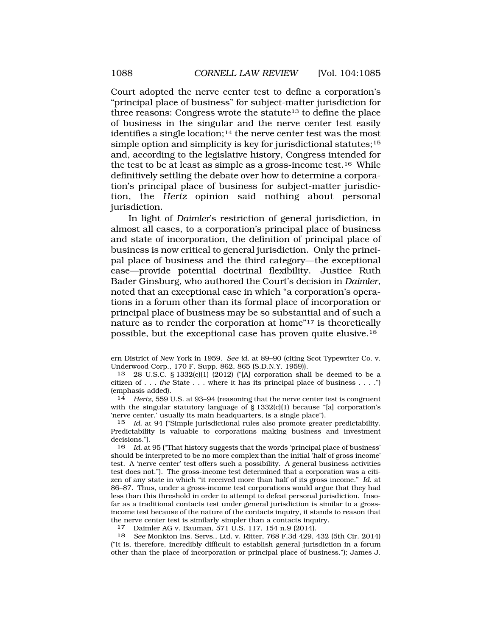Court adopted the nerve center test to define a corporation's "principal place of business" for subject-matter jurisdiction for three reasons: Congress wrote the statute<sup>13</sup> to define the place of business in the singular and the nerve center test easily identifies a single location;14 the nerve center test was the most simple option and simplicity is key for jurisdictional statutes;<sup>15</sup> and, according to the legislative history, Congress intended for the test to be at least as simple as a gross-income test.16 While definitively settling the debate over how to determine a corporation's principal place of business for subject-matter jurisdiction, the *Hertz* opinion said nothing about personal jurisdiction.

In light of *Daimler*'s restriction of general jurisdiction, in almost all cases, to a corporation's principal place of business and state of incorporation, the definition of principal place of business is now critical to general jurisdiction. Only the principal place of business and the third category—the exceptional case—provide potential doctrinal flexibility. Justice Ruth Bader Ginsburg, who authored the Court's decision in *Daimler*, noted that an exceptional case in which "a corporation's operations in a forum other than its formal place of incorporation or principal place of business may be so substantial and of such a nature as to render the corporation at home"17 is theoretically possible, but the exceptional case has proven quite elusive.18

17 Daimler AG v. Bauman, 571 U.S. 117, 154 n.9 (2014).

18 *See* Monkton Ins. Servs., Ltd. v. Ritter, 768 F.3d 429, 432 (5th Cir. 2014) ("It is, therefore, incredibly difficult to establish general jurisdiction in a forum other than the place of incorporation or principal place of business."); James J.

ern District of New York in 1959. *See id.* at 89–90 (citing Scot Typewriter Co. v. Underwood Corp., 170 F. Supp. 862, 865 (S.D.N.Y. 1959)).

<sup>13 28</sup> U.S.C. § 1332(c)(1) (2012) ("[A] corporation shall be deemed to be a citizen of . . . *the* State . . . where it has its principal place of business . . . .") (emphasis added).

<sup>14</sup> *Hertz*, 559 U.S. at 93–94 (reasoning that the nerve center test is congruent with the singular statutory language of  $\S$  1332(c)(1) because "[a] corporation's 'nerve center,' usually its main headquarters, is a single place").

<sup>15</sup> *Id.* at 94 ("Simple jurisdictional rules also promote greater predictability. Predictability is valuable to corporations making business and investment decisions.").

<sup>16</sup> *Id.* at 95 ("That history suggests that the words 'principal place of business' should be interpreted to be no more complex than the initial 'half of gross income' test. A 'nerve center' test offers such a possibility. A general business activities test does not."). The gross-income test determined that a corporation was a citizen of any state in which "it received more than half of its gross income." *Id.* at 86–87. Thus, under a gross-income test corporations would argue that they had less than this threshold in order to attempt to defeat personal jurisdiction. Insofar as a traditional contacts test under general jurisdiction is similar to a grossincome test because of the nature of the contacts inquiry, it stands to reason that the nerve center test is similarly simpler than a contacts inquiry.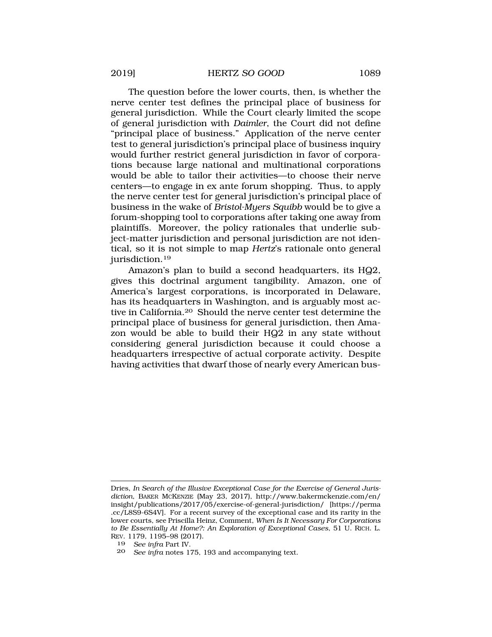The question before the lower courts, then, is whether the nerve center test defines the principal place of business for general jurisdiction. While the Court clearly limited the scope of general jurisdiction with *Daimler*, the Court did not define "principal place of business." Application of the nerve center test to general jurisdiction's principal place of business inquiry would further restrict general jurisdiction in favor of corporations because large national and multinational corporations would be able to tailor their activities—to choose their nerve centers—to engage in ex ante forum shopping. Thus, to apply the nerve center test for general jurisdiction's principal place of business in the wake of *Bristol-Myers Squibb* would be to give a forum-shopping tool to corporations after taking one away from plaintiffs. Moreover, the policy rationales that underlie subject-matter jurisdiction and personal jurisdiction are not identical, so it is not simple to map *Hertz*'s rationale onto general jurisdiction.19

Amazon's plan to build a second headquarters, its HQ2, gives this doctrinal argument tangibility. Amazon, one of America's largest corporations, is incorporated in Delaware, has its headquarters in Washington, and is arguably most active in California.20 Should the nerve center test determine the principal place of business for general jurisdiction, then Amazon would be able to build their HQ2 in any state without considering general jurisdiction because it could choose a headquarters irrespective of actual corporate activity. Despite having activities that dwarf those of nearly every American bus-

Dries, *In Search of the Illusive Exceptional Case for the Exercise of General Jurisdiction*, BAKER MCKENZIE (May 23, 2017), http://www.bakermckenzie.com/en/ insight/publications/2017/05/exercise-of-general-jurisdiction/ [https://perma .cc/L8S9-6S4V]. For a recent survey of the exceptional case and its rarity in the lower courts, see Priscilla Heinz, Comment, *When Is It Necessary For Corporations to Be Essentially At Home?: An Exploration of Exceptional Cases*, 51 U. RICH. L. REV. 1179, 1195–98 (2017).

<sup>19</sup> *See infra* Part IV.

<sup>20</sup> *See infra* notes 175, 193 and accompanying text.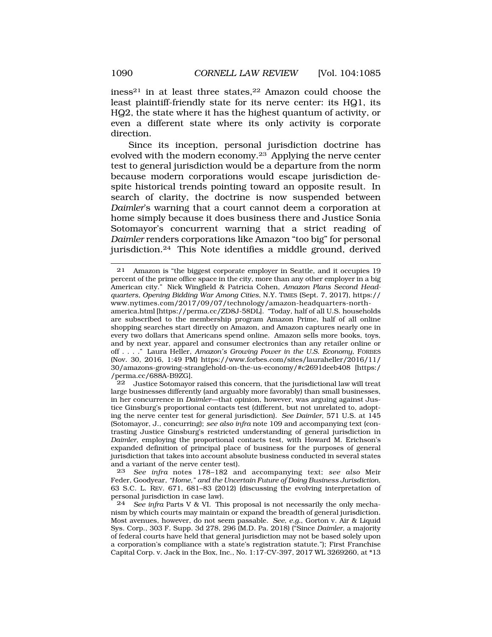iness<sup>21</sup> in at least three states,<sup>22</sup> Amazon could choose the least plaintiff-friendly state for its nerve center: its HQ1, its

HQ2, the state where it has the highest quantum of activity, or even a different state where its only activity is corporate direction.

Since its inception, personal jurisdiction doctrine has evolved with the modern economy.23 Applying the nerve center test to general jurisdiction would be a departure from the norm because modern corporations would escape jurisdiction despite historical trends pointing toward an opposite result. In search of clarity, the doctrine is now suspended between *Daimler*'s warning that a court cannot deem a corporation at home simply because it does business there and Justice Sonia Sotomayor's concurrent warning that a strict reading of *Daimler* renders corporations like Amazon "too big" for personal jurisdiction.24 This Note identifies a middle ground, derived

america.html [https://perma.cc/ZD8J-58DL]. "Today, half of all U.S. households are subscribed to the membership program Amazon Prime, half of all online shopping searches start directly on Amazon, and Amazon captures nearly one in every two dollars that Americans spend online. Amazon sells more books, toys, and by next year, apparel and consumer electronics than any retailer online or off . . . ." Laura Heller, *Amazon's Growing Power in the U.S. Economy*, FORBES (Nov. 30, 2016, 1:49 PM) https://www.forbes.com/sites/lauraheller/2016/11/ 30/amazons-growing-stranglehold-on-the-us-economy/#c2691deeb408 [https:/ /perma.cc/688A-B9ZG].

22 Justice Sotomayor raised this concern, that the jurisdictional law will treat large businesses differently (and arguably more favorably) than small businesses, in her concurrence in *Daimler*—that opinion, however, was arguing against Justice Ginsburg's proportional contacts test (different, but not unrelated to, adopting the nerve center test for general jurisdiction). *See Daimler*, 571 U.S. at 145 (Sotomayor, J., concurring); *see also infra* note 109 and accompanying text (contrasting Justice Ginsburg's restricted understanding of general jurisdiction in *Daimler*, employing the proportional contacts test, with Howard M. Erichson's expanded definition of principal place of business for the purposes of general jurisdiction that takes into account absolute business conducted in several states and a variant of the nerve center test).

23 *See infra* notes 178–182 and accompanying text; *see also* Meir Feder, Goodyear*, "Home," and the Uncertain Future of Doing Business Jurisdiction*, 63 S.C. L. REV. 671, 681–83 (2012) (discussing the evolving interpretation of personal jurisdiction in case law).

<sup>21</sup> Amazon is "the biggest corporate employer in Seattle, and it occupies 19 percent of the prime office space in the city, more than any other employer in a big American city." Nick Wingfield & Patricia Cohen, *Amazon Plans Second Headquarters, Opening Bidding War Among Cities*, N.Y. TIMES (Sept. 7, 2017), https:// www.nytimes.com/2017/09/07/technology/amazon-headquarters-north-

<sup>24</sup> *See infra* Parts V & VI. This proposal is not necessarily the only mechanism by which courts may maintain or expand the breadth of general jurisdiction. Most avenues, however, do not seem passable. *See, e.g.*, Gorton v. Air & Liquid Sys. Corp., 303 F. Supp. 3d 278, 296 (M.D. Pa. 2018) ("Since *Daimler*, a majority of federal courts have held that general jurisdiction may not be based solely upon a corporation's compliance with a state's registration statute."); First Franchise Capital Corp. v. Jack in the Box, Inc., No. 1:17-CV-397, 2017 WL 3269260, at \*13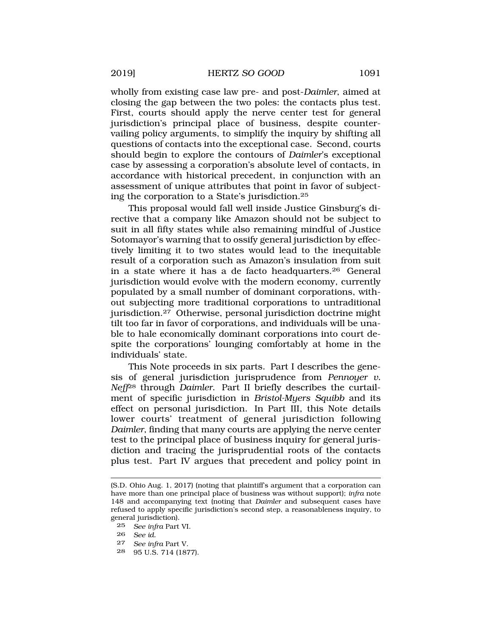wholly from existing case law pre- and post-*Daimler*, aimed at closing the gap between the two poles: the contacts plus test. First, courts should apply the nerve center test for general jurisdiction's principal place of business, despite countervailing policy arguments, to simplify the inquiry by shifting all questions of contacts into the exceptional case. Second, courts should begin to explore the contours of *Daimler*'s exceptional case by assessing a corporation's absolute level of contacts, in accordance with historical precedent, in conjunction with an assessment of unique attributes that point in favor of subjecting the corporation to a State's jurisdiction.25

This proposal would fall well inside Justice Ginsburg's directive that a company like Amazon should not be subject to suit in all fifty states while also remaining mindful of Justice Sotomayor's warning that to ossify general jurisdiction by effectively limiting it to two states would lead to the inequitable result of a corporation such as Amazon's insulation from suit in a state where it has a de facto headquarters.26 General jurisdiction would evolve with the modern economy, currently populated by a small number of dominant corporations, without subjecting more traditional corporations to untraditional jurisdiction.27 Otherwise, personal jurisdiction doctrine might tilt too far in favor of corporations, and individuals will be unable to hale economically dominant corporations into court despite the corporations' lounging comfortably at home in the individuals' state.

This Note proceeds in six parts. Part I describes the genesis of general jurisdiction jurisprudence from *Pennoyer v. Neff*28 through *Daimler*. Part II briefly describes the curtailment of specific jurisdiction in *Bristol-Myers Squibb* and its effect on personal jurisdiction. In Part III, this Note details lower courts' treatment of general jurisdiction following *Daimler*, finding that many courts are applying the nerve center test to the principal place of business inquiry for general jurisdiction and tracing the jurisprudential roots of the contacts plus test. Part IV argues that precedent and policy point in

- 27 *See infra* Part V.
- 28 95 U.S. 714 (1877).

<sup>(</sup>S.D. Ohio Aug. 1, 2017) (noting that plaintiff's argument that a corporation can have more than one principal place of business was without support); *infra* note 148 and accompanying text (noting that *Daimler* and subsequent cases have refused to apply specific jurisdiction's second step, a reasonableness inquiry, to general jurisdiction).

<sup>25</sup> *See infra* Part VI.

<sup>26</sup> *See id.*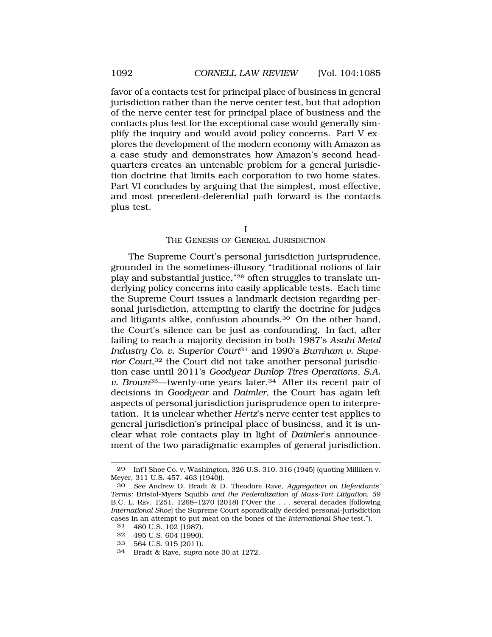<span id="page-7-0"></span>favor of a contacts test for principal place of business in general jurisdiction rather than the nerve center test, but that adoption of the nerve center test for principal place of business and the contacts plus test for the exceptional case would generally simplify the inquiry and would avoid policy concerns. Part V explores the development of the modern economy with Amazon as a case study and demonstrates how Amazon's second headquarters creates an untenable problem for a general jurisdiction doctrine that limits each corporation to two home states. Part VI concludes by arguing that the simplest, most effective, and most precedent-deferential path forward is the contacts plus test.

I

## THE GENESIS OF GENERAL JURISDICTION

The Supreme Court's personal jurisdiction jurisprudence, grounded in the sometimes-illusory "traditional notions of fair play and substantial justice,"29 often struggles to translate underlying policy concerns into easily applicable tests. Each time the Supreme Court issues a landmark decision regarding personal jurisdiction, attempting to clarify the doctrine for judges and litigants alike, confusion abounds.30 On the other hand, the Court's silence can be just as confounding. In fact, after failing to reach a majority decision in both 1987's *Asahi Metal Industry Co. v. Superior Court*31 and 1990's *Burnham v. Superior Court*,32 the Court did not take another personal jurisdiction case until 2011's *Goodyear Dunlop Tires Operations, S.A. v. Brown*33—twenty-one years later.34 After its recent pair of decisions in *Goodyear* and *Daimler*, the Court has again left aspects of personal jurisdiction jurisprudence open to interpretation. It is unclear whether *Hertz*'s nerve center test applies to general jurisdiction's principal place of business, and it is unclear what role contacts play in light of *Daimler*'s announcement of the two paradigmatic examples of general jurisdiction.

- 33 564 U.S. 915 (2011).
- 34 Bradt & Rave, *supra* note 30 at 1272.

<sup>29</sup> Int'l Shoe Co. v. Washington, 326 U.S. 310, 316 (1945) (quoting Milliken v. Meyer, 311 U.S. 457, 463 (1940)).

<sup>30</sup> *See* Andrew D. Bradt & D. Theodore Rave, *Aggregation on Defendants' Terms:* Bristol-Myers Squibb *and the Federalization of Mass-Tort Litigation*, 59 B.C. L. REV. 1251, 1268–1270 (2018) ("Over the . . . several decades [following *International Shoe*] the Supreme Court sporadically decided personal-jurisdiction cases in an attempt to put meat on the bones of the *International Shoe* test.").

<sup>31 480</sup> U.S. 102 (1987).

<sup>32 495</sup> U.S. 604 (1990).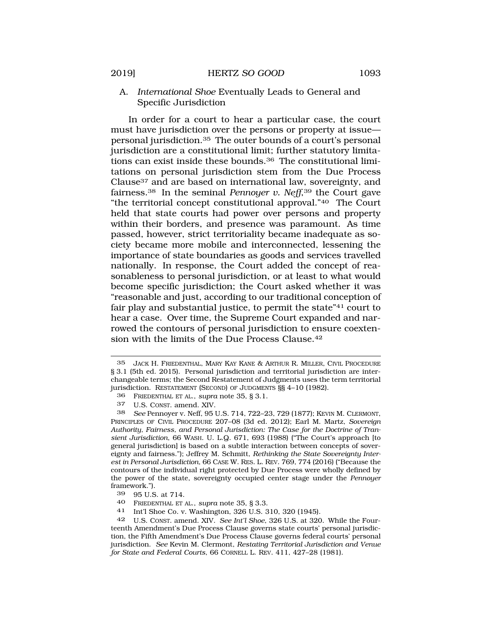# A. *International Shoe* Eventually Leads to General and Specific Jurisdiction

In order for a court to hear a particular case, the court must have jurisdiction over the persons or property at issue personal jurisdiction.35 The outer bounds of a court's personal jurisdiction are a constitutional limit; further statutory limitations can exist inside these bounds.36 The constitutional limitations on personal jurisdiction stem from the Due Process Clause37 and are based on international law, sovereignty, and fairness.38 In the seminal *Pennoyer v. Neff*,39 the Court gave "the territorial concept constitutional approval."40 The Court held that state courts had power over persons and property within their borders, and presence was paramount. As time passed, however, strict territoriality became inadequate as society became more mobile and interconnected, lessening the importance of state boundaries as goods and services travelled nationally. In response, the Court added the concept of reasonableness to personal jurisdiction, or at least to what would become specific jurisdiction; the Court asked whether it was "reasonable and just, according to our traditional conception of fair play and substantial justice, to permit the state"41 court to hear a case. Over time, the Supreme Court expanded and narrowed the contours of personal jurisdiction to ensure coextension with the limits of the Due Process Clause.42

39 95 U.S. at 714.<br>40 EPEDENTHAL ET

40 FRIEDENTHAL ET AL., *supra* note 35, § 3.3.

41 Int'l Shoe Co. v. Washington, 326 U.S. 310, 320 (1945).

<sup>35</sup> JACK H. FRIEDENTHAL, MARY KAY KANE & ARTHUR R. MILLER, CIVIL PROCEDURE § 3.1 (5th ed. 2015). Personal jurisdiction and territorial jurisdiction are interchangeable terms; the Second Restatement of Judgments uses the term territorial jurisdiction. RESTATEMENT (SECOND) OF JUDGMENTS §§ 4–10 (1982).

<sup>36</sup> FRIEDENTHAL ET AL., *supra* note 35, § 3.1.

<sup>37</sup> U.S. CONST. amend. XIV.

<sup>38</sup> *See* Pennoyer v. Neff, 95 U.S. 714, 722–23, 729 (1877); KEVIN M. CLERMONT, PRINCIPLES OF CIVIL PROCEDURE 207–08 (3d ed. 2012); Earl M. Martz, *Sovereign Authority, Fairness, and Personal Jurisdiction: The Case for the Doctrine of Transient Jurisdiction*, 66 WASH. U. L.Q. 671, 693 (1988) ("The Court's approach [to general jurisdiction] is based on a subtle interaction between concepts of sovereignty and fairness."); Jeffrey M. Schmitt, *Rethinking the State Sovereignty Interest in Personal Jurisdiction*, 66 CASE W. RES. L. REV. 769, 774 (2016) ("Because the contours of the individual right protected by Due Process were wholly defined by the power of the state, sovereignty occupied center stage under the *Pennoyer*  framework.").<br>39 OF II S

<sup>42</sup> U.S. CONST. amend. XIV. *See Int'l Shoe*, 326 U.S. at 320*.* While the Fourteenth Amendment's Due Process Clause governs state courts' personal jurisdiction, the Fifth Amendment's Due Process Clause governs federal courts' personal jurisdiction. *See* Kevin M. Clermont, *Restating Territorial Jurisdiction and Venue for State and Federal Courts*, 66 CORNELL L. REV. 411, 427–28 (1981).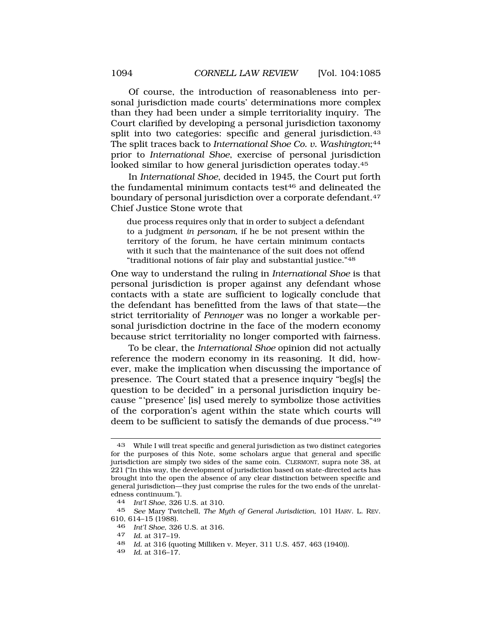Of course, the introduction of reasonableness into personal jurisdiction made courts' determinations more complex than they had been under a simple territoriality inquiry. The Court clarified by developing a personal jurisdiction taxonomy split into two categories: specific and general jurisdiction.<sup>43</sup> The split traces back to *International Shoe Co. v. Washington*;44 prior to *International Shoe*, exercise of personal jurisdiction looked similar to how general jurisdiction operates today.45

In *International Shoe*, decided in 1945, the Court put forth the fundamental minimum contacts test<sup>46</sup> and delineated the boundary of personal jurisdiction over a corporate defendant.<sup>47</sup> Chief Justice Stone wrote that

due process requires only that in order to subject a defendant to a judgment *in personam*, if he be not present within the territory of the forum, he have certain minimum contacts with it such that the maintenance of the suit does not offend "traditional notions of fair play and substantial justice."48

One way to understand the ruling in *International Shoe* is that personal jurisdiction is proper against any defendant whose contacts with a state are sufficient to logically conclude that the defendant has benefitted from the laws of that state—the strict territoriality of *Pennoyer* was no longer a workable personal jurisdiction doctrine in the face of the modern economy because strict territoriality no longer comported with fairness.

To be clear, the *International Shoe* opinion did not actually reference the modern economy in its reasoning. It did, however, make the implication when discussing the importance of presence. The Court stated that a presence inquiry "beg[s] the question to be decided" in a personal jurisdiction inquiry because "'presence' [is] used merely to symbolize those activities of the corporation's agent within the state which courts will deem to be sufficient to satisfy the demands of due process."49

49 *Id.* at 316–17.

<sup>43</sup> While I will treat specific and general jurisdiction as two distinct categories for the purposes of this Note, some scholars argue that general and specific jurisdiction are simply two sides of the same coin. CLERMONT*,* supra note 38, at 221 ("In this way, the development of jurisdiction based on state-directed acts has brought into the open the absence of any clear distinction between specific and general jurisdiction—they just comprise the rules for the two ends of the unrelatedness continuum.").

<sup>44</sup> *Int'l Shoe*, 326 U.S. at 310.

<sup>45</sup> *See* Mary Twitchell, *The Myth of General Jurisdiction*, 101 HARV. L. REV. 610, 614–15 (1988).

<sup>46</sup>*Int'l Shoe*, 326 U.S. at 316. 47 *Id.* at 317–19.

<sup>48</sup> *Id.* at 316 (quoting Milliken v. Meyer, 311 U.S. 457, 463 (1940)).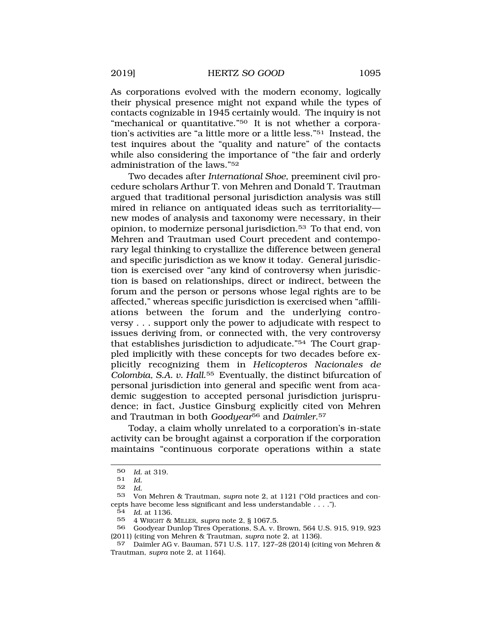As corporations evolved with the modern economy, logically their physical presence might not expand while the types of contacts cognizable in 1945 certainly would. The inquiry is not "mechanical or quantitative."<sup>50</sup> It is not whether a corporation's activities are "a little more or a little less."51 Instead, the test inquires about the "quality and nature" of the contacts while also considering the importance of "the fair and orderly administration of the laws."52

Two decades after *International Shoe*, preeminent civil procedure scholars Arthur T. von Mehren and Donald T. Trautman argued that traditional personal jurisdiction analysis was still mired in reliance on antiquated ideas such as territoriality new modes of analysis and taxonomy were necessary, in their opinion, to modernize personal jurisdiction.53 To that end, von Mehren and Trautman used Court precedent and contemporary legal thinking to crystallize the difference between general and specific jurisdiction as we know it today. General jurisdiction is exercised over "any kind of controversy when jurisdiction is based on relationships, direct or indirect, between the forum and the person or persons whose legal rights are to be affected," whereas specific jurisdiction is exercised when "affiliations between the forum and the underlying controversy . . . support only the power to adjudicate with respect to issues deriving from, or connected with, the very controversy that establishes jurisdiction to adjudicate."54 The Court grappled implicitly with these concepts for two decades before explicitly recognizing them in *Helicopteros Nacionales de Colombia, S.A. v. Hall*.55 Eventually, the distinct bifurcation of personal jurisdiction into general and specific went from academic suggestion to accepted personal jurisdiction jurisprudence; in fact, Justice Ginsburg explicitly cited von Mehren and Trautman in both *Goodyear*56 and *Daimler*.57

Today, a claim wholly unrelated to a corporation's in-state activity can be brought against a corporation if the corporation maintains "continuous corporate operations within a state

<sup>50</sup> *Id.* at 319.

<sup>51</sup> *Id.* 

<sup>52</sup> *Id.* 

<sup>53</sup> Von Mehren & Trautman, *supra* note 2, at 1121 ("Old practices and concepts have become less significant and less understandable . . . .").

<sup>54</sup> *Id.* at 1136.

<sup>55 4</sup> WRIGHT & MILLER, *supra* note 2, § 1067.5.

<sup>56</sup> Goodyear Dunlop Tires Operations, S.A. v. Brown, 564 U.S. 915, 919, 923 (2011) (citing von Mehren & Trautman, *supra* note 2, at 1136).

<sup>57</sup> Daimler AG v. Bauman, 571 U.S. 117, 127–28 (2014) (citing von Mehren & Trautman, *supra* note 2, at 1164).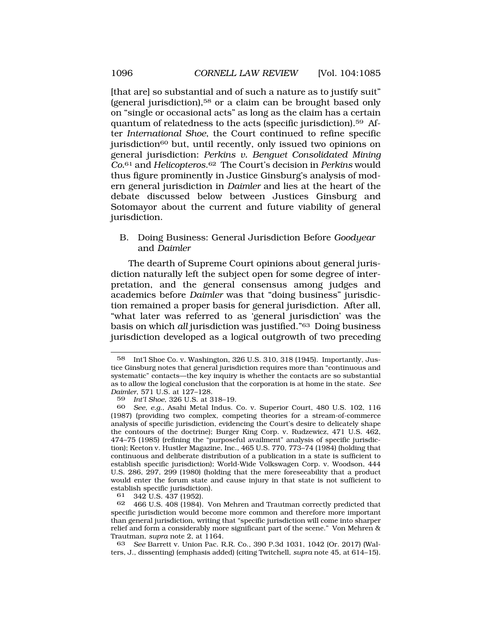<span id="page-11-0"></span>[that are] so substantial and of such a nature as to justify suit" (general jurisdiction),58 or a claim can be brought based only on "single or occasional acts" as long as the claim has a certain quantum of relatedness to the acts (specific jurisdiction).59 After *International Shoe*, the Court continued to refine specific jurisdiction<sup>60</sup> but, until recently, only issued two opinions on general jurisdiction: *Perkins v. Benguet Consolidated Mining Co.*61 and *Helicopteros*.62 The Court's decision in *Perkins* would thus figure prominently in Justice Ginsburg's analysis of modern general jurisdiction in *Daimler* and lies at the heart of the debate discussed below between Justices Ginsburg and Sotomayor about the current and future viability of general jurisdiction.

B. Doing Business: General Jurisdiction Before *Goodyear*  and *Daimler* 

The dearth of Supreme Court opinions about general jurisdiction naturally left the subject open for some degree of interpretation, and the general consensus among judges and academics before *Daimler* was that "doing business" jurisdiction remained a proper basis for general jurisdiction. After all, "what later was referred to as 'general jurisdiction' was the basis on which *all* jurisdiction was justified."63 Doing business jurisdiction developed as a logical outgrowth of two preceding

61 342 U.S. 437 (1952).<br>62 466 U.S. 408 (1984).

63 *See* Barrett v. Union Pac. R.R. Co., 390 P.3d 1031, 1042 (Or. 2017) (Walters, J., dissenting) (emphasis added) (citing Twitchell, *supra* note 45, at 614–15).

<sup>58</sup> Int'l Shoe Co. v. Washington, 326 U.S. 310, 318 (1945). Importantly, Justice Ginsburg notes that general jurisdiction requires more than "continuous and systematic" contacts—the key inquiry is whether the contacts are so substantial as to allow the logical conclusion that the corporation is at home in the state. *See Daimler*, 571 U.S. at 127–128.

<sup>59</sup> *Int'l Shoe*, 326 U.S. at 318–19.

<sup>60</sup> *See, e.g.*, Asahi Metal Indus. Co. v. Superior Court, 480 U.S. 102, 116 (1987) (providing two complex, competing theories for a stream-of-commerce analysis of specific jurisdiction, evidencing the Court's desire to delicately shape the contours of the doctrine); Burger King Corp. v. Rudzewicz, 471 U.S. 462, 474–75 (1985) (refining the "purposeful availment" analysis of specific jurisdiction); Keeton v. Hustler Magazine, Inc., 465 U.S. 770, 773–74 (1984) (holding that continuous and deliberate distribution of a publication in a state is sufficient to establish specific jurisdiction); World-Wide Volkswagen Corp. v. Woodson, 444 U.S. 286, 297, 299 (1980) (holding that the mere foreseeability that a product would enter the forum state and cause injury in that state is not sufficient to establish specific jurisdiction).<br>61 342 U.S. 437 (1952)

<sup>62 466</sup> U.S. 408 (1984). Von Mehren and Trautman correctly predicted that specific jurisdiction would become more common and therefore more important than general jurisdiction, writing that "specific jurisdiction will come into sharper relief and form a considerably more significant part of the scene." Von Mehren & Trautman, *supra* note 2, at 1164.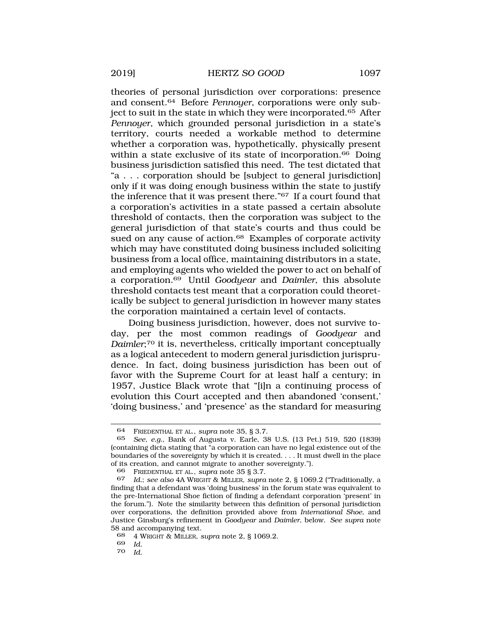theories of personal jurisdiction over corporations: presence and consent.64 Before *Pennoyer*, corporations were only subject to suit in the state in which they were incorporated.<sup>65</sup> After *Pennoyer*, which grounded personal jurisdiction in a state's territory, courts needed a workable method to determine whether a corporation was, hypothetically, physically present within a state exclusive of its state of incorporation.<sup>66</sup> Doing business jurisdiction satisfied this need. The test dictated that "a . . . corporation should be [subject to general jurisdiction] only if it was doing enough business within the state to justify the inference that it was present there."67 If a court found that a corporation's activities in a state passed a certain absolute threshold of contacts, then the corporation was subject to the general jurisdiction of that state's courts and thus could be sued on any cause of action.<sup>68</sup> Examples of corporate activity which may have constituted doing business included soliciting business from a local office, maintaining distributors in a state, and employing agents who wielded the power to act on behalf of a corporation.69 Until *Goodyear* and *Daimler*, this absolute threshold contacts test meant that a corporation could theoretically be subject to general jurisdiction in however many states the corporation maintained a certain level of contacts.

Doing business jurisdiction, however, does not survive today, per the most common readings of *Goodyear* and *Daimler*;<sup>70</sup> it is, nevertheless, critically important conceptually as a logical antecedent to modern general jurisdiction jurisprudence. In fact, doing business jurisdiction has been out of favor with the Supreme Court for at least half a century; in 1957, Justice Black wrote that "[i]n a continuing process of evolution this Court accepted and then abandoned 'consent,' 'doing business,' and 'presence' as the standard for measuring

<sup>64</sup> FRIEDENTHAL ET AL., *supra* note 35, § 3.7.

<sup>65</sup> *See, e.g.*, Bank of Augusta v. Earle, 38 U.S. (13 Pet.) 519, 520 (1839) (containing dicta stating that "a corporation can have no legal existence out of the boundaries of the sovereignty by which it is created. . . . It must dwell in the place of its creation, and cannot migrate to another sovereignty.").

<sup>66</sup> FRIEDENTHAL ET AL., *supra* note 35 § 3.7.

<sup>67</sup> *Id.*; *see also* 4A WRIGHT & MILLER, *supra* note 2, § 1069.2 ("Traditionally, a finding that a defendant was 'doing business' in the forum state was equivalent to the pre-International Shoe fiction of finding a defendant corporation 'present' in the forum."). Note the similarity between this definition of personal jurisdiction over corporations, the definition provided above from *International Shoe*, and Justice Ginsburg's refinement in *Goodyear* and *Daimler*, below. *See supra* note 58 and accompanying text.

<sup>68 4</sup> WRIGHT & MILLER, *supra* note 2, § 1069.2.

<sup>69</sup> *Id.* 

<sup>70</sup> *Id.*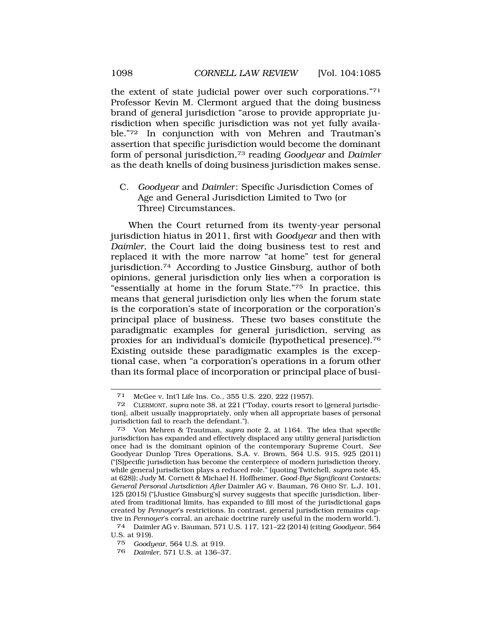the extent of state judicial power over such corporations."71 Professor Kevin M. Clermont argued that the doing business brand of general jurisdiction "arose to provide appropriate jurisdiction when specific jurisdiction was not yet fully available."72 In conjunction with von Mehren and Trautman's assertion that specific jurisdiction would become the dominant form of personal jurisdiction,73 reading *Goodyear* and *Daimler*  as the death knells of doing business jurisdiction makes sense.

C. *Goodyear* and *Daimler* : Specific Jurisdiction Comes of Age and General Jurisdiction Limited to Two (or Three) Circumstances.

When the Court returned from its twenty-year personal jurisdiction hiatus in 2011, first with *Goodyear* and then with *Daimler*, the Court laid the doing business test to rest and replaced it with the more narrow "at home" test for general jurisdiction.74 According to Justice Ginsburg, author of both opinions, general jurisdiction only lies when a corporation is "essentially at home in the forum State."75 In practice, this means that general jurisdiction only lies when the forum state is the corporation's state of incorporation or the corporation's principal place of business. These two bases constitute the paradigmatic examples for general jurisdiction, serving as proxies for an individual's domicile (hypothetical presence).76 Existing outside these paradigmatic examples is the exceptional case, when "a corporation's operations in a forum other than its formal place of incorporation or principal place of busi-

<span id="page-13-0"></span>

<sup>71</sup> McGee v. Int'l Life Ins. Co., 355 U.S. 220, 222 (1957).

<sup>72</sup> CLERMONT, *supra* note 38, at 221 ("Today, courts resort to [general jurisdiction], albeit usually inappropriately, only when all appropriate bases of personal jurisdiction fail to reach the defendant.").

<sup>73</sup> Von Mehren & Trautman, *supra* note 2, at 1164. The idea that specific jurisdiction has expanded and effectively displaced any utility general jurisdiction once had is the dominant opinion of the contemporary Supreme Court. *See*  Goodyear Dunlop Tires Operations, S.A. v. Brown, 564 U.S. 915, 925 (2011) ("[S]pecific jurisdiction has become the centerpiece of modern jurisdiction theory, while general jurisdiction plays a reduced role." (quoting Twitchell, *supra* note 45, at 628)); Judy M. Cornett & Michael H. Hoffheimer, *Good-Bye Significant Contacts: General Personal Jurisdiction After* Daimler AG v. Bauman, 76 OHIO ST. L.J. 101, 125 (2015) ("[Justice Ginsburg's] survey suggests that specific jurisdiction, liberated from traditional limits, has expanded to fill most of the jurisdictional gaps created by *Pennoyer*'s restrictions. In contrast, general jurisdiction remains captive in *Pennoyer*'s corral, an archaic doctrine rarely useful in the modern world.").<br>
<sup>74</sup> Daimler AG v. Bauman, 571 U.S. 117, 121–22 (2014) (citing Goodugar, 564

<sup>74</sup> Daimler AG v. Bauman, 571 U.S. 117, 121–22 (2014) (citing *Goodyear*, 564 U.S. at 919).

<sup>75</sup> *Goodyear*, 564 U.S. at 919.

<sup>76</sup> *Daimler*, 571 U.S. at 136–37.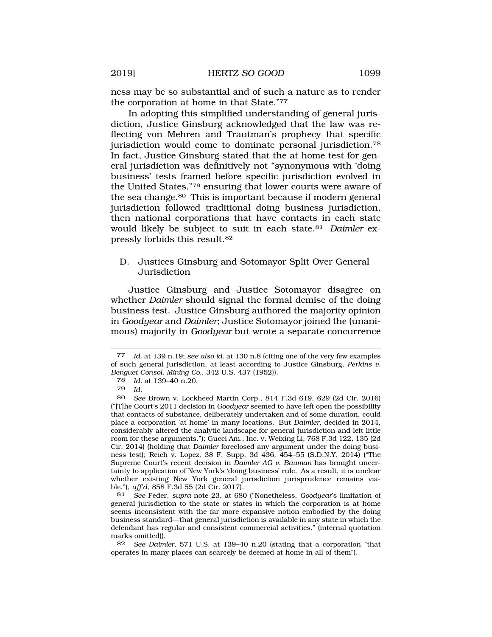ness may be so substantial and of such a nature as to render the corporation at home in that State."77

In adopting this simplified understanding of general jurisdiction, Justice Ginsburg acknowledged that the law was reflecting von Mehren and Trautman's prophecy that specific jurisdiction would come to dominate personal jurisdiction.78 In fact, Justice Ginsburg stated that the at home test for general jurisdiction was definitively not "synonymous with 'doing business' tests framed before specific jurisdiction evolved in the United States,"79 ensuring that lower courts were aware of the sea change.<sup>80</sup> This is important because if modern general jurisdiction followed traditional doing business jurisdiction, then national corporations that have contacts in each state would likely be subject to suit in each state.81 *Daimler* expressly forbids this result.82

# D. Justices Ginsburg and Sotomayor Split Over General Jurisdiction

Justice Ginsburg and Justice Sotomayor disagree on whether *Daimler* should signal the formal demise of the doing business test. Justice Ginsburg authored the majority opinion in *Goodyear* and *Daimler*; Justice Sotomayor joined the (unanimous) majority in *Goodyear* but wrote a separate concurrence

81 *See* Feder, *supra* note 23, at 680 ("Nonetheless, *Goodyear*'s limitation of general jurisdiction to the state or states in which the corporation is at home seems inconsistent with the far more expansive notion embodied by the doing business standard—that general jurisdiction is available in any state in which the defendant has regular and consistent commercial activities." (internal quotation marks omitted)).

82 *See Daimler*, 571 U.S. at 139–40 n.20 (stating that a corporation "that operates in many places can scarcely be deemed at home in all of them").

<sup>77</sup> *Id.* at 139 n.19; *see also id.* at 130 n.8 (citing one of the very few examples of such general jurisdiction, at least according to Justice Ginsburg, *Perkins v. Benguet Consol. Mining Co.*, 342 U.S. 437 (1952)).

<sup>78</sup> *Id.* at 139–40 n.20.

*Id.* 

<sup>80</sup> *See* Brown v. Lockheed Martin Corp., 814 F.3d 619, 629 (2d Cir. 2016) ("[T]he Court's 2011 decision in *Goodyear* seemed to have left open the possibility that contacts of substance, deliberately undertaken and of some duration, could place a corporation 'at home' in many locations. But *Daimler*, decided in 2014, considerably altered the analytic landscape for general jurisdiction and left little room for these arguments."); Gucci Am., Inc. v. Weixing Li, 768 F.3d 122, 135 (2d Cir. 2014) (holding that *Daimler* foreclosed any argument under the doing business test); Reich v. Lopez, 38 F. Supp. 3d 436, 454–55 (S.D.N.Y. 2014) ("The Supreme Court's recent decision in *Daimler AG v. Bauman* has brought uncertainty to application of New York's 'doing business' rule. As a result, it is unclear whether existing New York general jurisdiction jurisprudence remains viable."), *aff'd*, 858 F.3d 55 (2d Cir. 2017).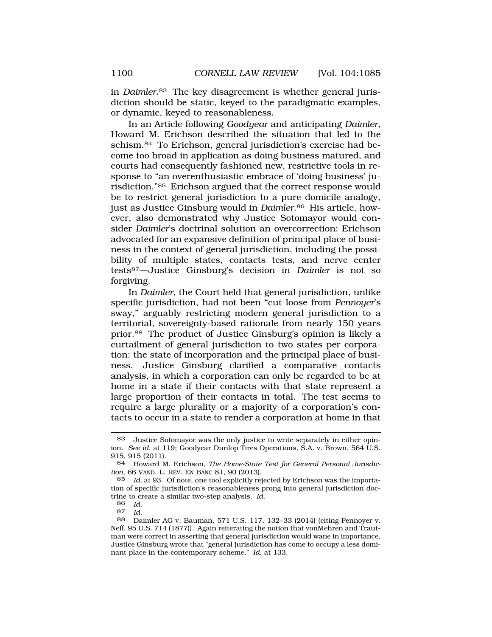in *Daimler*.83 The key disagreement is whether general jurisdiction should be static, keyed to the paradigmatic examples, or dynamic, keyed to reasonableness.

In an Article following *Goodyear* and anticipating *Daimler*, Howard M. Erichson described the situation that led to the schism.84 To Erichson, general jurisdiction's exercise had become too broad in application as doing business matured, and courts had consequently fashioned new, restrictive tools in response to "an overenthusiastic embrace of 'doing business' jurisdiction."85 Erichson argued that the correct response would be to restrict general jurisdiction to a pure domicile analogy, just as Justice Ginsburg would in *Daimler*.86 His article, however, also demonstrated why Justice Sotomayor would consider *Daimler*'s doctrinal solution an overcorrection: Erichson advocated for an expansive definition of principal place of business in the context of general jurisdiction, including the possibility of multiple states, contacts tests, and nerve center tests87—Justice Ginsburg's decision in *Daimler* is not so forgiving.

In *Daimler*, the Court held that general jurisdiction, unlike specific jurisdiction, had not been "cut loose from *Pennoyer*'s sway," arguably restricting modern general jurisdiction to a territorial, sovereignty-based rationale from nearly 150 years prior.88 The product of Justice Ginsburg's opinion is likely a curtailment of general jurisdiction to two states per corporation: the state of incorporation and the principal place of business. Justice Ginsburg clarified a comparative contacts analysis, in which a corporation can only be regarded to be at home in a state if their contacts with that state represent a large proportion of their contacts in total. The test seems to require a large plurality or a majority of a corporation's contacts to occur in a state to render a corporation at home in that

<sup>83</sup> Justice Sotomayor was the only justice to write separately in either opinion. *See id.* at 119; Goodyear Dunlop Tires Operations, S.A. v. Brown, 564 U.S. 915, 915 (2011).

<sup>84</sup> Howard M. Erichson, *The Home-State Test for General Personal Jurisdiction*, 66 VAND. L. REV. EN BANC 81, 90 (2013).

<sup>85</sup> *Id.* at 93. Of note, one tool explicitly rejected by Erichson was the importation of specific jurisdiction's reasonableness prong into general jurisdiction doctrine to create a similar two-step analysis. *Id.* 

<sup>86</sup> *Id.* 

 $Id$ 

<sup>88</sup> Daimler AG v. Bauman, 571 U.S. 117, 132–33 (2014) (citing Pennoyer v. Neff, 95 U.S. 714 (1877)). Again reiterating the notion that vonMehren and Trautman were correct in asserting that general jurisdiction would wane in importance, Justice Ginsburg wrote that "general jurisdiction has come to occupy a less dominant place in the contemporary scheme." *Id.* at 133.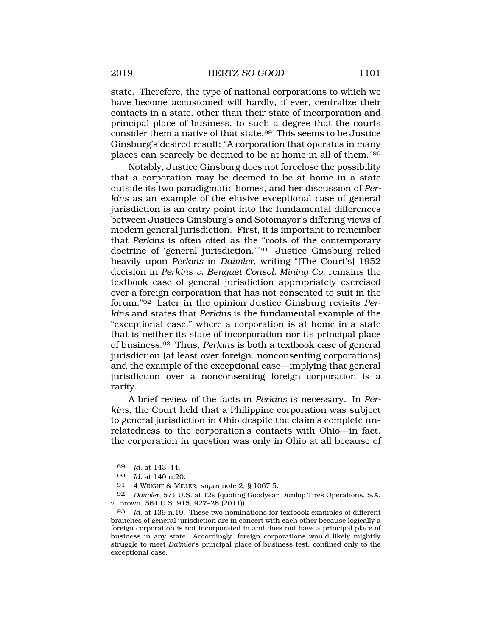state. Therefore, the type of national corporations to which we have become accustomed will hardly, if ever, centralize their contacts in a state, other than their state of incorporation and principal place of business, to such a degree that the courts consider them a native of that state.89 This seems to be Justice Ginsburg's desired result: "A corporation that operates in many places can scarcely be deemed to be at home in all of them."90

Notably, Justice Ginsburg does not foreclose the possibility that a corporation may be deemed to be at home in a state outside its two paradigmatic homes, and her discussion of *Perkins* as an example of the elusive exceptional case of general jurisdiction is an entry point into the fundamental differences between Justices Ginsburg's and Sotomayor's differing views of modern general jurisdiction. First, it is important to remember that *Perkins* is often cited as the "roots of the contemporary doctrine of 'general jurisdiction.'"<sup>91</sup> Justice Ginsburg relied heavily upon *Perkins* in *Daimler*, writing "[The Court's] 1952 decision in *Perkins v. Benguet Consol. Mining Co.* remains the textbook case of general jurisdiction appropriately exercised over a foreign corporation that has not consented to suit in the forum."92 Later in the opinion Justice Ginsburg revisits *Perkins* and states that *Perkins* is the fundamental example of the "exceptional case," where a corporation is at home in a state that is neither its state of incorporation nor its principal place of business.93 Thus, *Perkins* is both a textbook case of general jurisdiction (at least over foreign, nonconsenting corporations) and the example of the exceptional case—implying that general jurisdiction over a nonconsenting foreign corporation is a rarity.

A brief review of the facts in *Perkins* is necessary. In *Perkins*, the Court held that a Philippine corporation was subject to general jurisdiction in Ohio despite the claim's complete unrelatedness to the corporation's contacts with Ohio—in fact, the corporation in question was only in Ohio at all because of

<sup>89</sup> *Id.* at 143–44.

<sup>90</sup> *Id.* at 140 n.20.

<sup>91 4</sup> WRIGHT & MILLER, *supra* note 2, § 1067.5.

<sup>92</sup> *Daimler*, 571 U.S. at 129 (quoting Goodyear Dunlop Tires Operations, S.A. v. Brown, 564 U.S. 915, 927–28 (2011)).

<sup>93</sup> *Id.* at 139 n.19. These two nominations for textbook examples of different branches of general jurisdiction are in concert with each other because logically a foreign corporation is not incorporated in and does not have a principal place of business in any state. Accordingly, foreign corporations would likely mightily struggle to meet *Daimler*'s principal place of business test, confined only to the exceptional case.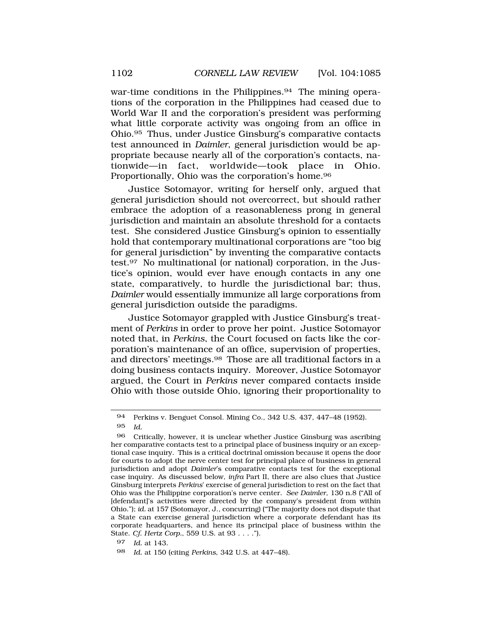war-time conditions in the Philippines.<sup>94</sup> The mining operations of the corporation in the Philippines had ceased due to World War II and the corporation's president was performing what little corporate activity was ongoing from an office in Ohio.95 Thus, under Justice Ginsburg's comparative contacts test announced in *Daimler*, general jurisdiction would be appropriate because nearly all of the corporation's contacts, nationwide—in fact, worldwide—took place in Ohio. Proportionally, Ohio was the corporation's home.96

Justice Sotomayor, writing for herself only, argued that general jurisdiction should not overcorrect, but should rather embrace the adoption of a reasonableness prong in general jurisdiction and maintain an absolute threshold for a contacts test. She considered Justice Ginsburg's opinion to essentially hold that contemporary multinational corporations are "too big for general jurisdiction" by inventing the comparative contacts test.97 No multinational (or national) corporation, in the Justice's opinion, would ever have enough contacts in any one state, comparatively, to hurdle the jurisdictional bar; thus, *Daimler* would essentially immunize all large corporations from general jurisdiction outside the paradigms.

Justice Sotomayor grappled with Justice Ginsburg's treatment of *Perkins* in order to prove her point. Justice Sotomayor noted that, in *Perkins*, the Court focused on facts like the corporation's maintenance of an office, supervision of properties, and directors' meetings.98 Those are all traditional factors in a doing business contacts inquiry. Moreover, Justice Sotomayor argued, the Court in *Perkins* never compared contacts inside Ohio with those outside Ohio, ignoring their proportionality to

<sup>94</sup> Perkins v. Benguet Consol. Mining Co., 342 U.S. 437, 447–48 (1952). 95 *Id.* 

<sup>96</sup> Critically, however, it is unclear whether Justice Ginsburg was ascribing her comparative contacts test to a principal place of business inquiry or an exceptional case inquiry. This is a critical doctrinal omission because it opens the door for courts to adopt the nerve center test for principal place of business in general jurisdiction and adopt *Daimler*'s comparative contacts test for the exceptional case inquiry. As discussed below, *infra* Part II, there are also clues that Justice Ginsburg interprets *Perkins*' exercise of general jurisdiction to rest on the fact that Ohio was the Philippine corporation's nerve center. *See Daimler*, 130 n.8 ("All of [defendant]'s activities were directed by the company's president from within Ohio."); *id.* at 157 (Sotomayor, J., concurring) ("The majority does not dispute that a State can exercise general jurisdiction where a corporate defendant has its corporate headquarters, and hence its principal place of business within the State. *Cf. Hertz Corp.*, 559 U.S. at 93 . . . .").

<sup>97</sup> *Id.* at 143.

<sup>98</sup> *Id.* at 150 (citing *Perkins*, 342 U.S. at 447–48).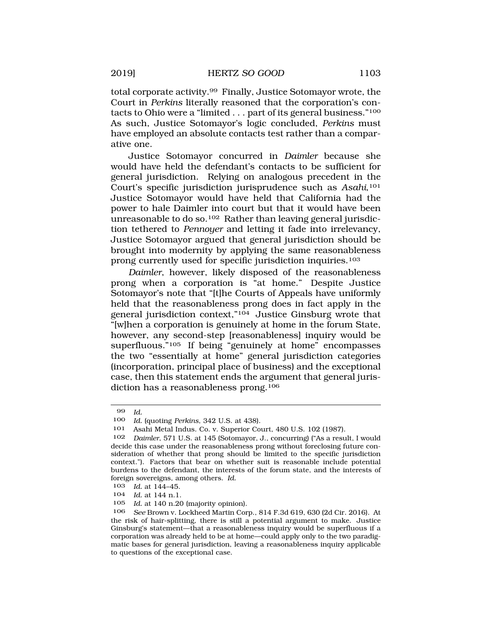total corporate activity.99 Finally, Justice Sotomayor wrote, the Court in *Perkins* literally reasoned that the corporation's contacts to Ohio were a "limited . . . part of its general business."<sup>100</sup> As such, Justice Sotomayor's logic concluded, *Perkins* must have employed an absolute contacts test rather than a comparative one.

Justice Sotomayor concurred in *Daimler* because she would have held the defendant's contacts to be sufficient for general jurisdiction. Relying on analogous precedent in the Court's specific jurisdiction jurisprudence such as *Asahi*,101 Justice Sotomayor would have held that California had the power to hale Daimler into court but that it would have been unreasonable to do so.<sup>102</sup> Rather than leaving general jurisdiction tethered to *Pennoyer* and letting it fade into irrelevancy, Justice Sotomayor argued that general jurisdiction should be brought into modernity by applying the same reasonableness prong currently used for specific jurisdiction inquiries.103

*Daimler*, however, likely disposed of the reasonableness prong when a corporation is "at home." Despite Justice Sotomayor's note that "[t]he Courts of Appeals have uniformly held that the reasonableness prong does in fact apply in the general jurisdiction context,"104 Justice Ginsburg wrote that "[w]hen a corporation is genuinely at home in the forum State, however, any second-step [reasonableness] inquiry would be superfluous."105 If being "genuinely at home" encompasses the two "essentially at home" general jurisdiction categories (incorporation, principal place of business) and the exceptional case, then this statement ends the argument that general jurisdiction has a reasonableness prong.<sup>106</sup>

103 *Id.* at 144–45.<br>104 *Id.* at 144 p.1

104 *Id.* at 144 n.1.

<sup>99</sup> *Id.* 

<sup>100</sup> *Id.* (quoting *Perkins*, 342 U.S. at 438).

<sup>101</sup> Asahi Metal Indus. Co. v. Superior Court, 480 U.S. 102 (1987).<br>102 Daimler 571 U.S. at 145 (Sotomayor J. concurring) ("As a resu

Daimler, 571 U.S. at 145 (Sotomayor, J., concurring) ("As a result, I would decide this case under the reasonableness prong without foreclosing future consideration of whether that prong should be limited to the specific jurisdiction context."). Factors that bear on whether suit is reasonable include potential burdens to the defendant, the interests of the forum state, and the interests of foreign sovereigns, among others. *Id.* 

<sup>105</sup> *Id.* at 140 n.20 (majority opinion).

<sup>106</sup> *See* Brown v. Lockheed Martin Corp., 814 F.3d 619, 630 (2d Cir. 2016). At the risk of hair-splitting, there is still a potential argument to make. Justice Ginsburg's statement—that a reasonableness inquiry would be superfluous if a corporation was already held to be at home—could apply only to the two paradigmatic bases for general jurisdiction, leaving a reasonableness inquiry applicable to questions of the exceptional case.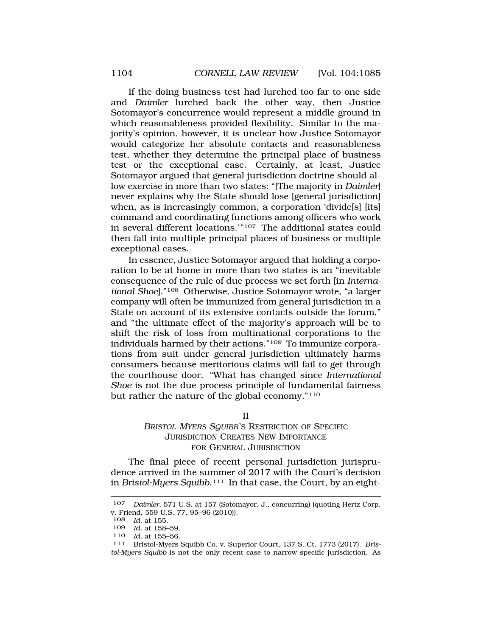<span id="page-19-0"></span>If the doing business test had lurched too far to one side and *Daimler* lurched back the other way, then Justice Sotomayor's concurrence would represent a middle ground in which reasonableness provided flexibility. Similar to the majority's opinion, however, it is unclear how Justice Sotomayor would categorize her absolute contacts and reasonableness test, whether they determine the principal place of business test or the exceptional case. Certainly, at least, Justice Sotomayor argued that general jurisdiction doctrine should allow exercise in more than two states: "[The majority in *Daimler*] never explains why the State should lose [general jurisdiction] when, as is increasingly common, a corporation 'divide[s] [its] command and coordinating functions among officers who work in several different locations."<sup>107</sup> The additional states could then fall into multiple principal places of business or multiple exceptional cases.

In essence, Justice Sotomayor argued that holding a corporation to be at home in more than two states is an "inevitable consequence of the rule of due process we set forth [in *International Shoe*]."108 Otherwise, Justice Sotomayor wrote, "a larger company will often be immunized from general jurisdiction in a State on account of its extensive contacts outside the forum," and "the ultimate effect of the majority's approach will be to shift the risk of loss from multinational corporations to the individuals harmed by their actions."109 To immunize corporations from suit under general jurisdiction ultimately harms consumers because meritorious claims will fail to get through the courthouse door. "What has changed since *International Shoe* is not the due process principle of fundamental fairness but rather the nature of the global economy."110

II

<sup>B</sup>RISTOL-MYERS SQUIBB'S RESTRICTION OF SPECIFIC JURISDICTION CREATES NEW IMPORTANCE FOR GENERAL JURISDICTION

The final piece of recent personal jurisdiction jurisprudence arrived in the summer of 2017 with the Court's decision in *Bristol-Myers Squibb*.111 In that case, the Court, by an eight-

<sup>107</sup> *Daimler*, 571 U.S. at 157 (Sotomayor, J., concurring) (quoting Hertz Corp. v. Friend, 559 U.S. 77, 95–96 (2010)).

<sup>108</sup> *Id.* at 155.

*Id.* at 158-59.

<sup>110</sup>*Id.* at 155–56. 111 Bristol-Myers Squibb Co. v. Superior Court, 137 S. Ct. 1773 (2017). *Bristol-Myers Squibb* is not the only recent case to narrow specific jurisdiction. As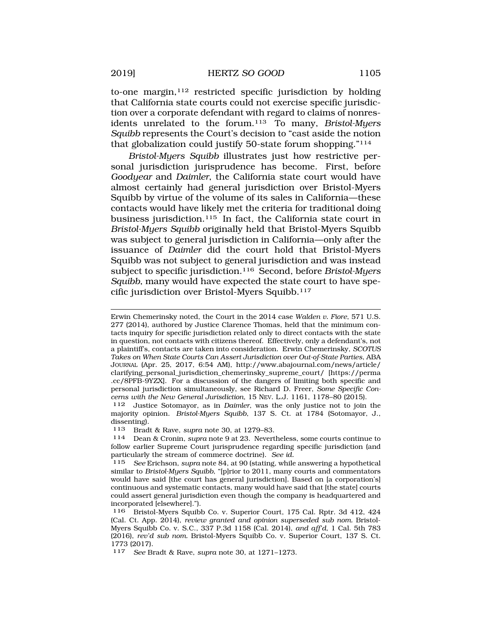to-one margin, $112$  restricted specific jurisdiction by holding that California state courts could not exercise specific jurisdiction over a corporate defendant with regard to claims of nonresidents unrelated to the forum.113 To many, *Bristol-Myers Squibb* represents the Court's decision to "cast aside the notion that globalization could justify 50-state forum shopping."114

*Bristol-Myers Squibb* illustrates just how restrictive personal jurisdiction jurisprudence has become. First, before *Goodyear* and *Daimler*, the California state court would have almost certainly had general jurisdiction over Bristol-Myers Squibb by virtue of the volume of its sales in California—these contacts would have likely met the criteria for traditional doing business jurisdiction.115 In fact, the California state court in *Bristol-Myers Squibb* originally held that Bristol-Myers Squibb was subject to general jurisdiction in California—only after the issuance of *Daimler* did the court hold that Bristol-Myers Squibb was not subject to general jurisdiction and was instead subject to specific jurisdiction.116 Second, before *Bristol-Myers Squibb*, many would have expected the state court to have specific jurisdiction over Bristol-Myers Squibb.117

Erwin Chemerinsky noted, the Court in the 2014 case *Walden v. Fiore*, 571 U.S. 277 (2014), authored by Justice Clarence Thomas, held that the minimum contacts inquiry for specific jurisdiction related only to direct contacts with the state in question, not contacts with citizens thereof. Effectively, only a defendant's, not a plaintiff's, contacts are taken into consideration. Erwin Chemerinsky, *SCOTUS Takes on When State Courts Can Assert Jurisdiction over Out-of-State Parties*, ABA JOURNAL (Apr. 25, 2017, 6:54 AM), http://www.abajournal.com/news/article/ clarifying\_personal\_jurisdiction\_chemerinsky\_supreme\_court/ [https://perma .cc/8PFB-9YZX]. For a discussion of the dangers of limiting both specific and personal jurisdiction simultaneously, see Richard D. Freer, *Some Specific Concerns with the New General Jurisdiction*, 15 NEV. L.J. 1161, 1178–80 (2015).

112 Justice Sotomayor, as in *Daimler*, was the only justice not to join the majority opinion. *Bristol-Myers Squibb*, 137 S. Ct. at 1784 (Sotomayor, J., dissenting).

113 Bradt & Rave, *supra* note 30, at 1279–83.

114 Dean & Cronin, *supra* note 9 at 23. Nevertheless, some courts continue to follow earlier Supreme Court jurisprudence regarding specific jurisdiction (and particularly the stream of commerce doctrine). *See id.* 

115 *See* Erichson, *supra* note 84, at 90 (stating, while answering a hypothetical similar to *Bristol-Myers Squibb*, "[p]rior to 2011, many courts and commentators would have said [the court has general jurisdiction]. Based on [a corporation's] continuous and systematic contacts, many would have said that [the state] courts could assert general jurisdiction even though the company is headquartered and incorporated [elsewhere].").

116 Bristol-Myers Squibb Co. v. Superior Court, 175 Cal. Rptr. 3d 412, 424 (Cal. Ct. App. 2014), *review granted and opinion superseded sub nom.* Bristol-Myers Squibb Co. v. S.C., 337 P.3d 1158 (Cal. 2014), *and aff'd*, 1 Cal. 5th 783 (2016), *rev'd sub nom.* Bristol-Myers Squibb Co. v. Superior Court, 137 S. Ct. 1773 (2017).<br>117 See B

117 *See* Bradt & Rave, *supra* note 30, at 1271–1273.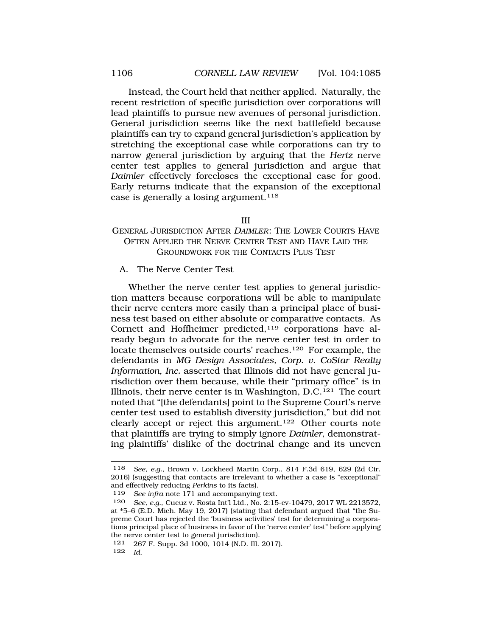<span id="page-21-0"></span>Instead, the Court held that neither applied. Naturally, the recent restriction of specific jurisdiction over corporations will lead plaintiffs to pursue new avenues of personal jurisdiction. General jurisdiction seems like the next battlefield because plaintiffs can try to expand general jurisdiction's application by stretching the exceptional case while corporations can try to narrow general jurisdiction by arguing that the *Hertz* nerve center test applies to general jurisdiction and argue that *Daimler* effectively forecloses the exceptional case for good. Early returns indicate that the expansion of the exceptional case is generally a losing argument.<sup>118</sup>

#### III

# GENERAL JURISDICTION AFTER <sup>D</sup>AIMLER: THE LOWER COURTS HAVE OFTEN APPLIED THE NERVE CENTER TEST AND HAVE LAID THE GROUNDWORK FOR THE CONTACTS PLUS TEST

## A. The Nerve Center Test

Whether the nerve center test applies to general jurisdiction matters because corporations will be able to manipulate their nerve centers more easily than a principal place of business test based on either absolute or comparative contacts. As Cornett and Hoffheimer predicted,<sup>119</sup> corporations have already begun to advocate for the nerve center test in order to locate themselves outside courts' reaches.120 For example, the defendants in *MG Design Associates, Corp. v. CoStar Realty Information, Inc.* asserted that Illinois did not have general jurisdiction over them because, while their "primary office" is in Illinois, their nerve center is in Washington, D.C.121 The court noted that "[the defendants] point to the Supreme Court's nerve center test used to establish diversity jurisdiction," but did not clearly accept or reject this argument.<sup>122</sup> Other courts note that plaintiffs are trying to simply ignore *Daimler*, demonstrating plaintiffs' dislike of the doctrinal change and its uneven

<sup>118</sup> *See, e.g.*, Brown v. Lockheed Martin Corp., 814 F.3d 619, 629 (2d Cir. 2016) (suggesting that contacts are irrelevant to whether a case is "exceptional" and effectively reducing *Perkins* to its facts).

<sup>119</sup> *See infra* note 171 and accompanying text.

<sup>120</sup> *See, e.g.*, Cucuz v. Rosta Int'l Ltd., No. 2:15-cv-10479, 2017 WL 2213572, at \*5–6 (E.D. Mich. May 19, 2017) (stating that defendant argued that "the Supreme Court has rejected the 'business activities' test for determining a corporations principal place of business in favor of the 'nerve center' test" before applying the nerve center test to general jurisdiction).

<sup>121 267</sup> F. Supp. 3d 1000, 1014 (N.D. Ill. 2017). 122 *Id.*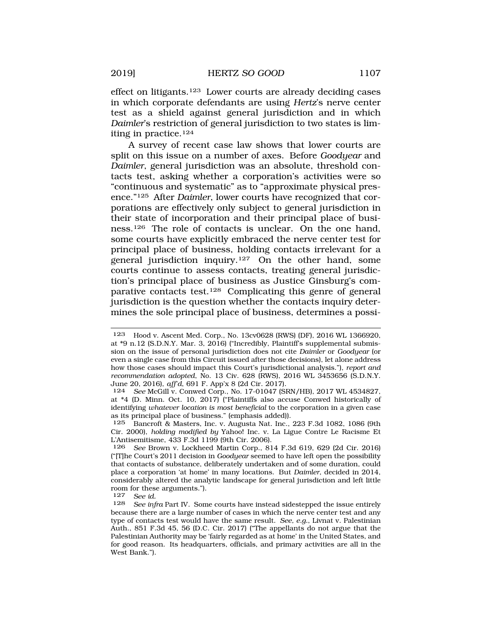effect on litigants.123 Lower courts are already deciding cases in which corporate defendants are using *Hertz*'s nerve center test as a shield against general jurisdiction and in which *Daimler*'s restriction of general jurisdiction to two states is limiting in practice.124

A survey of recent case law shows that lower courts are split on this issue on a number of axes. Before *Goodyear* and *Daimler*, general jurisdiction was an absolute, threshold contacts test, asking whether a corporation's activities were so "continuous and systematic" as to "approximate physical presence."125 After *Daimler*, lower courts have recognized that corporations are effectively only subject to general jurisdiction in their state of incorporation and their principal place of business.126 The role of contacts is unclear. On the one hand, some courts have explicitly embraced the nerve center test for principal place of business, holding contacts irrelevant for a general jurisdiction inquiry.127 On the other hand, some courts continue to assess contacts, treating general jurisdiction's principal place of business as Justice Ginsburg's comparative contacts test.128 Complicating this genre of general jurisdiction is the question whether the contacts inquiry determines the sole principal place of business, determines a possi-

<sup>123</sup> Hood v. Ascent Med. Corp., No. 13cv0628 (RWS) (DF), 2016 WL 1366920, at \*9 n.12 (S.D.N.Y. Mar. 3, 2016) ("Incredibly, Plaintiff's supplemental submission on the issue of personal jurisdiction does not cite *Daimler* or *Goodyear* (or even a single case from this Circuit issued after those decisions), let alone address how those cases should impact this Court's jurisdictional analysis."), *report and recommendation adopted*, No. 13 Civ. 628 (RWS), 2016 WL 3453656 (S.D.N.Y. June 20, 2016), *aff'd*, 691 F. App'x 8 (2d Cir. 2017).

<sup>124</sup> *See* McGill v. Conwed Corp., No. 17-01047 (SRN/HB), 2017 WL 4534827, at \*4 (D. Minn. Oct. 10, 2017) ("Plaintiffs also accuse Conwed historically of identifying *whatever location is most beneficial* to the corporation in a given case as its principal place of business." (emphasis added)).<br>125 Bancroft & Masters. Inc. y. Augusta Nat. Inc..

Bancroft & Masters, Inc. v. Augusta Nat. Inc., 223 F.3d 1082, 1086 (9th Cir. 2000), *holding modified by* Yahoo! Inc. v. La Ligue Contre Le Racisme Et L'Antisemitisme, 433 F.3d 1199 (9th Cir. 2006).

<sup>126</sup> *See* Brown v. Lockheed Martin Corp., 814 F.3d 619, 629 (2d Cir. 2016) ("[T]he Court's 2011 decision in *Goodyear* seemed to have left open the possibility that contacts of substance, deliberately undertaken and of some duration, could place a corporation 'at home' in many locations. But *Daimler*, decided in 2014, considerably altered the analytic landscape for general jurisdiction and left little room for these arguments.").<br>127 See id

<sup>127</sup> *See id.* 

See infra Part IV. Some courts have instead sidestepped the issue entirely because there are a large number of cases in which the nerve center test and any type of contacts test would have the same result. *See, e.g.*, Livnat v. Palestinian Auth., 851 F.3d 45, 56 (D.C. Cir. 2017) ("The appellants do not argue that the Palestinian Authority may be 'fairly regarded as at home' in the United States, and for good reason. Its headquarters, officials, and primary activities are all in the West Bank.").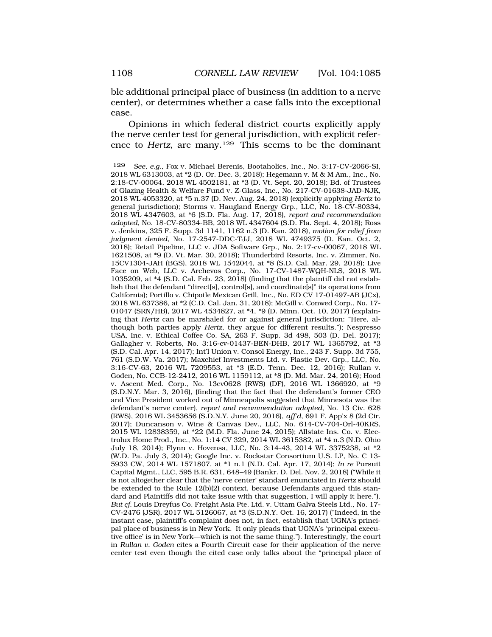ble additional principal place of business (in addition to a nerve center), or determines whether a case falls into the exceptional case.

Opinions in which federal district courts explicitly apply the nerve center test for general jurisdiction, with explicit reference to *Hertz*, are many.129 This seems to be the dominant

<sup>129</sup> *See, e.g.*, Fox v. Michael Berenis, Bootaholics, Inc., No. 3:17-CV-2066-SI, 2018 WL 6313003, at \*2 (D. Or. Dec. 3, 2018); Hegemann v. M & M Am., Inc., No. 2:18-CV-00064, 2018 WL 4502181, at \*3 (D. Vt. Sept. 20, 2018); Bd. of Trustees of Glazing Health & Welfare Fund v. Z-Glass, Inc., No. 217-CV-01638-JAD-NJK, 2018 WL 4053320, at \*5 n.37 (D. Nev. Aug. 24, 2018) (explicitly applying *Hertz* to general jurisdiction); Storms v. Haugland Energy Grp., LLC, No. 18-CV-80334, 2018 WL 4347603, at \*6 (S.D. Fla. Aug. 17, 2018), *report and recommendation adopted*, No. 18-CV-80334-BB, 2018 WL 4347604 (S.D. Fla. Sept. 4, 2018); Ross v. Jenkins, 325 F. Supp. 3d 1141, 1162 n.3 (D. Kan. 2018), *motion for relief from judgment denied*, No. 17-2547-DDC-TJJ, 2018 WL 4749375 (D. Kan. Oct. 2, 2018); Retail Pipeline, LLC v. JDA Software Grp., No. 2:17-cv-00067, 2018 WL 1621508, at \*9 (D. Vt. Mar. 30, 2018); Thunderbird Resorts, Inc. v. Zimmer, No. 15CV1304-JAH (BGS), 2018 WL 1542044, at \*8 (S.D. Cal. Mar. 29, 2018); Live Face on Web, LLC v. Archevos Corp., No. 17-CV-1487-WQH-NLS, 2018 WL 1035209, at \*4 (S.D. Cal. Feb. 23, 2018) (finding that the plaintiff did not establish that the defendant "direct[s], control[s], and coordinate[s]" its operations from California); Portillo v. Chipotle Mexican Grill, Inc., No. ED CV 17-01497-AB (JCx), 2018 WL 637386, at \*2 (C.D. Cal. Jan. 31, 2018); McGill v. Conwed Corp., No. 17- 01047 (SRN/HB), 2017 WL 4534827, at \*4, \*9 (D. Minn. Oct. 10, 2017) (explaining that *Hertz* can be marshaled for or against general jurisdiction: "Here, although both parties apply *Hertz*, they argue for different results."); Nespresso USA, Inc. v. Ethical Coffee Co. SA, 263 F. Supp. 3d 498, 503 (D. Del. 2017); Gallagher v. Roberts, No. 3:16-cv-01437-BEN-DHB, 2017 WL 1365792, at \*3 (S.D. Cal. Apr. 14, 2017); Int'l Union v. Consol Energy, Inc., 243 F. Supp. 3d 755, 761 (S.D.W. Va. 2017); Maxchief Investments Ltd. v. Plastic Dev. Grp., LLC, No. 3:16-CV-63, 2016 WL 7209553, at \*3 (E.D. Tenn. Dec. 12, 2016); Rullan v. Goden, No. CCB-12-2412, 2016 WL 1159112, at \*8 (D. Md. Mar. 24, 2016); Hood v. Ascent Med. Corp., No. 13cv0628 (RWS) (DF), 2016 WL 1366920, at \*9 (S.D.N.Y. Mar. 3, 2016), (finding that the fact that the defendant's former CEO and Vice President worked out of Minneapolis suggested that Minnesota was the defendant's nerve center), *report and recommendation adopted*, No. 13 Civ. 628 (RWS), 2016 WL 3453656 (S.D.N.Y. June 20, 2016), *aff'd*, 691 F. App'x 8 (2d Cir. 2017); Duncanson v. Wine & Canvas Dev., LLC, No. 614-CV-704-Orl-40KRS, 2015 WL 12838359, at \*22 (M.D. Fla. June 24, 2015); Allstate Ins. Co. v. Electrolux Home Prod., Inc., No. 1:14 CV 329, 2014 WL 3615382, at \*4 n.3 (N.D. Ohio July 18, 2014); Flynn v. Hovensa, LLC, No. 3:14-43, 2014 WL 3375238, at \*2 (W.D. Pa. July 3, 2014); Google Inc. v. Rockstar Consortium U.S. LP, No. C 13- 5933 CW, 2014 WL 1571807, at \*1 n.1 (N.D. Cal. Apr. 17, 2014); *In re* Pursuit Capital Mgmt., LLC, 595 B.R. 631, 648–49 (Bankr. D. Del. Nov. 2, 2018) ("While it is not altogether clear that the 'nerve center' standard enunciated in *Hertz* should be extended to the Rule 12(b)(2) context, because Defendants argued this standard and Plaintiffs did not take issue with that suggestion, I will apply it here."). *But cf.* Louis Dreyfus Co. Freight Asia Pte. Ltd. v. Uttam Galva Steels Ltd., No. 17- CV-2476 (JSR), 2017 WL 5126067, at \*3 (S.D.N.Y. Oct. 16, 2017) ("Indeed, in the instant case, plaintiff's complaint does not, in fact, establish that UGNA's principal place of business is in New York. It only pleads that UGNA's 'principal executive office' is in New York—which is not the same thing."). Interestingly, the court in *Rullan v. Goden* cites a Fourth Circuit case for their application of the nerve center test even though the cited case only talks about the "principal place of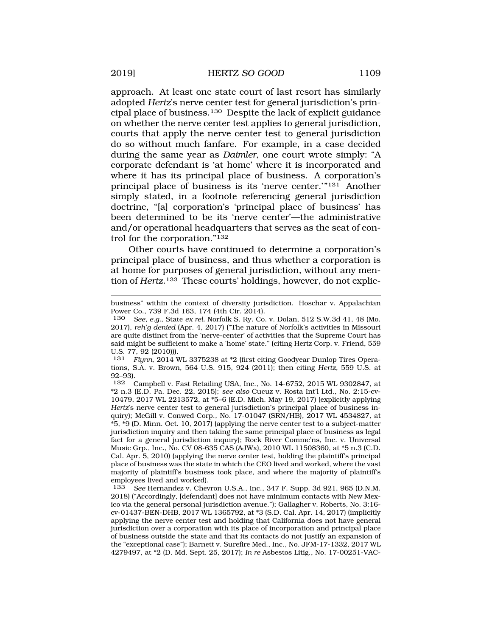approach. At least one state court of last resort has similarly adopted *Hertz*'s nerve center test for general jurisdiction's principal place of business.130 Despite the lack of explicit guidance on whether the nerve center test applies to general jurisdiction, courts that apply the nerve center test to general jurisdiction do so without much fanfare. For example, in a case decided during the same year as *Daimler*, one court wrote simply: "A corporate defendant is 'at home' where it is incorporated and where it has its principal place of business. A corporation's principal place of business is its 'nerve center.'"<sup>131</sup> Another simply stated, in a footnote referencing general jurisdiction doctrine, "[a] corporation's 'principal place of business' has been determined to be its 'nerve center'—the administrative and/or operational headquarters that serves as the seat of control for the corporation."132

Other courts have continued to determine a corporation's principal place of business, and thus whether a corporation is at home for purposes of general jurisdiction, without any mention of *Hertz*.133 These courts' holdings, however, do not explic-

131 *Flynn*, 2014 WL 3375238 at \*2 (first citing Goodyear Dunlop Tires Operations, S.A. v. Brown, 564 U.S. 915, 924 (2011); then citing *Hertz*, 559 U.S. at  $92-93$ .<br>132 (

132 Campbell v. Fast Retailing USA, Inc., No. 14-6752, 2015 WL 9302847, at \*2 n.3 (E.D. Pa. Dec. 22, 2015); *see also* Cucuz v. Rosta Int'l Ltd., No. 2:15-cv-10479, 2017 WL 2213572, at \*5–6 (E.D. Mich. May 19, 2017) (explicitly applying *Hertz*'s nerve center test to general jurisdiction's principal place of business inquiry); McGill v. Conwed Corp., No. 17-01047 (SRN/HB), 2017 WL 4534827, at \*5, \*9 (D. Minn. Oct. 10, 2017) (applying the nerve center test to a subject-matter jurisdiction inquiry and then taking the same principal place of business as legal fact for a general jurisdiction inquiry); Rock River Commc'ns, Inc. v. Universal Music Grp., Inc., No. CV 08-635 CAS (AJWx), 2010 WL 11508360, at \*5 n.3 (C.D. Cal. Apr. 5, 2010) (applying the nerve center test, holding the plaintiff's principal place of business was the state in which the CEO lived and worked, where the vast majority of plaintiff's business took place, and where the majority of plaintiff's employees lived and worked).

133 *See* Hernandez v. Chevron U.S.A., Inc., 347 F. Supp. 3d 921, 965 (D.N.M. 2018) ("Accordingly, [defendant] does not have minimum contacts with New Mexico via the general personal jurisdiction avenue."); Gallagher v. Roberts, No. 3:16 cv-01437-BEN-DHB, 2017 WL 1365792, at \*3 (S.D. Cal. Apr. 14, 2017) (implicitly applying the nerve center test and holding that California does not have general jurisdiction over a corporation with its place of incorporation and principal place of business outside the state and that its contacts do not justify an expansion of the "exceptional case"); Barnett v. Surefire Med., Inc., No. JFM-17-1332, 2017 WL 4279497, at \*2 (D. Md. Sept. 25, 2017); *In re* Asbestos Litig., No. 17-00251-VAC-

business" within the context of diversity jurisdiction. Hoschar v. Appalachian Power Co., 739 F.3d 163, 174 (4th Cir. 2014).

<sup>130</sup> *See, e.g.*, State *ex rel.* Norfolk S. Ry. Co. v. Dolan, 512 S.W.3d 41, 48 (Mo. 2017), *reh'g denied* (Apr. 4, 2017) ("The nature of Norfolk's activities in Missouri are quite distinct from the 'nerve-center' of activities that the Supreme Court has said might be sufficient to make a 'home' state." (citing Hertz Corp. v. Friend, 559 U.S. 77, 92 (2010))).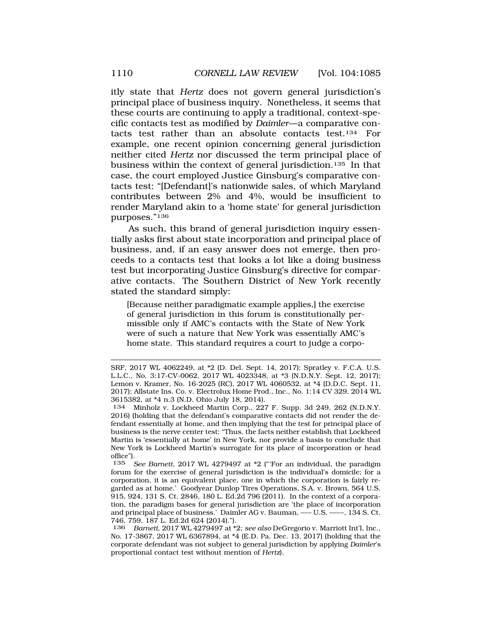itly state that *Hertz* does not govern general jurisdiction's principal place of business inquiry. Nonetheless, it seems that these courts are continuing to apply a traditional, context-specific contacts test as modified by *Daimler*—a comparative contacts test rather than an absolute contacts test.<sup>134</sup> For example, one recent opinion concerning general jurisdiction neither cited *Hertz* nor discussed the term principal place of business within the context of general jurisdiction.135 In that case, the court employed Justice Ginsburg's comparative contacts test: "[Defendant]'s nationwide sales, of which Maryland contributes between 2% and 4%, would be insufficient to render Maryland akin to a 'home state' for general jurisdiction purposes."136

As such, this brand of general jurisdiction inquiry essentially asks first about state incorporation and principal place of business, and, if an easy answer does not emerge, then proceeds to a contacts test that looks a lot like a doing business test but incorporating Justice Ginsburg's directive for comparative contacts. The Southern District of New York recently stated the standard simply:

[Because neither paradigmatic example applies,] the exercise of general jurisdiction in this forum is constitutionally permissible only if AMC's contacts with the State of New York were of such a nature that New York was essentially AMC's home state. This standard requires a court to judge a corpo-

SRF, 2017 WL 4062249, at \*2 (D. Del. Sept. 14, 2017); Spratley v. F.C.A. U.S. L.L.C., No. 3:17-CV-0062, 2017 WL 4023348, at \*3 (N.D.N.Y. Sept. 12, 2017); Lemon v. Kramer, No. 16-2025 (RC), 2017 WL 4060532, at \*4 (D.D.C. Sept. 11, 2017); Allstate Ins. Co. v. Electrolux Home Prod., Inc., No. 1:14 CV 329, 2014 WL 3615382, at \*4 n.3 (N.D. Ohio July 18, 2014).

<sup>134</sup> Minholz v. Lockheed Martin Corp., 227 F. Supp. 3d 249, 262 (N.D.N.Y. 2016) (holding that the defendant's comparative contacts did not render the defendant essentially at home, and then implying that the test for principal place of business is the nerve center test: "Thus, the facts neither establish that Lockheed Martin is 'essentially at home' in New York, nor provide a basis to conclude that New York is Lockheed Martin's surrogate for its place of incorporation or head office").

<sup>135</sup> *See Barnett*, 2017 WL 4279497 at \*2 ("'For an individual, the paradigm forum for the exercise of general jurisdiction is the individual's domicile; for a corporation, it is an equivalent place, one in which the corporation is fairly regarded as at home.' Goodyear Dunlop Tires Operations, S.A. v. Brown, 564 U.S. 915, 924, 131 S. Ct. 2846, 180 L. Ed.2d 796 (2011). In the context of a corporation, the paradigm bases for general jurisdiction are 'the place of incorporation and principal place of business.' Daimler AG v. Bauman, ––– U.S. ––––, 134 S. Ct. 746, 759, 187 L. Ed.2d 624 (2014).").<br>136 Barnett 2017 WL 4279497 at \*\*

<sup>136</sup> *Barnett*, 2017 WL 4279497 at \*2; *see also* DeGregorio v. Marriott Int'l, Inc., No. 17-3867, 2017 WL 6367894, at \*4 (E.D. Pa. Dec. 13, 2017) (holding that the corporate defendant was not subject to general jurisdiction by applying *Daimler*'s proportional contact test without mention of *Hertz*).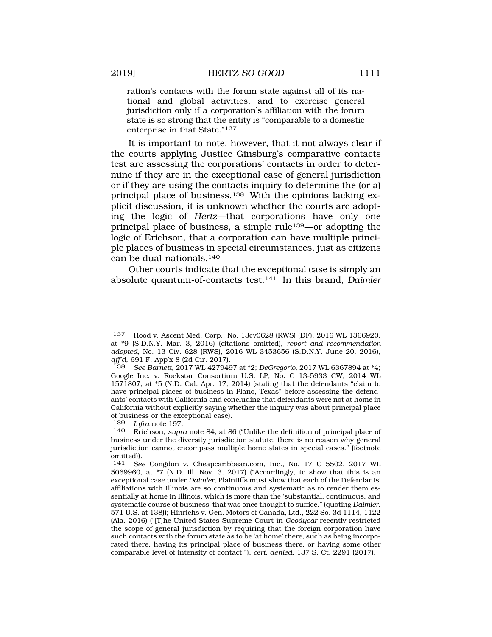ration's contacts with the forum state against all of its national and global activities, and to exercise general jurisdiction only if a corporation's affiliation with the forum state is so strong that the entity is "comparable to a domestic enterprise in that State."137

It is important to note, however, that it not always clear if the courts applying Justice Ginsburg's comparative contacts test are assessing the corporations' contacts in order to determine if they are in the exceptional case of general jurisdiction or if they are using the contacts inquiry to determine the (or a) principal place of business.138 With the opinions lacking explicit discussion, it is unknown whether the courts are adopting the logic of *Hertz*—that corporations have only one principal place of business, a simple rule139—or adopting the logic of Erichson, that a corporation can have multiple principle places of business in special circumstances, just as citizens can be dual nationals.140

Other courts indicate that the exceptional case is simply an absolute quantum-of-contacts test.141 In this brand, *Daimler* 

<sup>137</sup> Hood v. Ascent Med. Corp., No. 13cv0628 (RWS) (DF), 2016 WL 1366920, at \*9 (S.D.N.Y. Mar. 3, 2016) (citations omitted), *report and recommendation adopted*, No. 13 Civ. 628 (RWS), 2016 WL 3453656 (S.D.N.Y. June 20, 2016), *aff'd*, 691 F. App'x 8 (2d Cir. 2017).

<sup>138</sup> *See Barnett*, 2017 WL 4279497 at \*2; *DeGregorio*, 2017 WL 6367894 at \*4; Google Inc. v. Rockstar Consortium U.S. LP, No. C 13-5933 CW, 2014 WL 1571807, at \*5 (N.D. Cal. Apr. 17, 2014) (stating that the defendants "claim to have principal places of business in Plano, Texas" before assessing the defendants' contacts with California and concluding that defendants were not at home in California without explicitly saying whether the inquiry was about principal place % of business or the exceptional case).<br> $139$  Infra note 197

<sup>139</sup> *Infra* note 197.

<sup>140</sup> Erichson, *supra* note 84, at 86 ("Unlike the definition of principal place of business under the diversity jurisdiction statute, there is no reason why general jurisdiction cannot encompass multiple home states in special cases." (footnote omitted)).

<sup>141</sup> *See* Congdon v. Cheapcaribbean.com, Inc., No. 17 C 5502, 2017 WL 5069960, at \*7 (N.D. Ill. Nov. 3, 2017) ("Accordingly, to show that this is an exceptional case under *Daimler*, Plaintiffs must show that each of the Defendants' affiliations with Illinois are so continuous and systematic as to render them essentially at home in Illinois, which is more than the 'substantial, continuous, and systematic course of business' that was once thought to suffice." (quoting *Daimler*, 571 U.S. at 138)); Hinrichs v. Gen. Motors of Canada, Ltd., 222 So. 3d 1114, 1122 (Ala. 2016) ("[T]he United States Supreme Court in *Goodyear* recently restricted the scope of general jurisdiction by requiring that the foreign corporation have such contacts with the forum state as to be 'at home' there, such as being incorporated there, having its principal place of business there, or having some other comparable level of intensity of contact."), *cert. denied*, 137 S. Ct. 2291 (2017).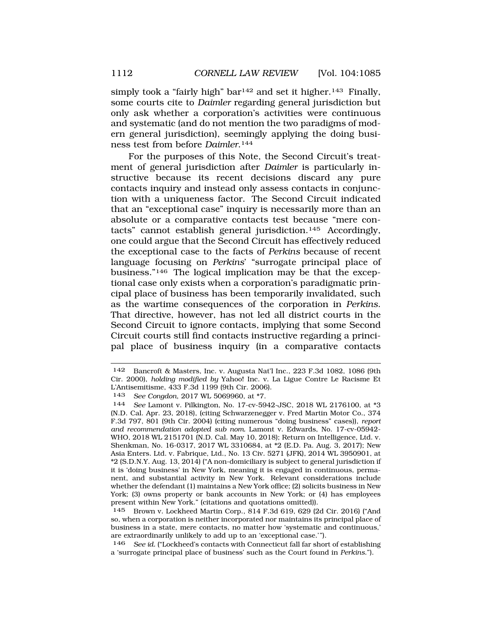simply took a "fairly high" bar<sup>142</sup> and set it higher.<sup>143</sup> Finally, some courts cite to *Daimler* regarding general jurisdiction but only ask whether a corporation's activities were continuous and systematic (and do not mention the two paradigms of modern general jurisdiction), seemingly applying the doing business test from before *Daimler*.144

For the purposes of this Note, the Second Circuit's treatment of general jurisdiction after *Daimler* is particularly instructive because its recent decisions discard any pure contacts inquiry and instead only assess contacts in conjunction with a uniqueness factor. The Second Circuit indicated that an "exceptional case" inquiry is necessarily more than an absolute or a comparative contacts test because "mere contacts" cannot establish general jurisdiction.145 Accordingly, one could argue that the Second Circuit has effectively reduced the exceptional case to the facts of *Perkins* because of recent language focusing on *Perkins*' "surrogate principal place of business."146 The logical implication may be that the exceptional case only exists when a corporation's paradigmatic principal place of business has been temporarily invalidated, such as the wartime consequences of the corporation in *Perkins*. That directive, however, has not led all district courts in the Second Circuit to ignore contacts, implying that some Second Circuit courts still find contacts instructive regarding a principal place of business inquiry (in a comparative contacts

<sup>142</sup> Bancroft & Masters, Inc. v. Augusta Nat'l Inc., 223 F.3d 1082, 1086 (9th Cir. 2000), *holding modified by* Yahoo! Inc. v. La Ligue Contre Le Racisme Et L'Antisemitisme, 433 F.3d 1199 (9th Cir. 2006).

<sup>143</sup> *See Congdon*, 2017 WL 5069960, at \*7.

See Lamont v. Pilkington, No. 17-cv-5942-JSC, 2018 WL 2176100, at \*3 (N.D. Cal. Apr. 23, 2018), (citing Schwarzenegger v. Fred Martin Motor Co., 374 F.3d 797, 801 (9th Cir. 2004) (citing numerous "doing business" cases)), *report and recommendation adopted sub nom.* Lamont v. Edwards, No. 17-cv-05942- WHO, 2018 WL 2151701 (N.D. Cal. May 10, 2018); Return on Intelligence, Ltd. v. Shenkman, No. 16-0317, 2017 WL 3310684, at \*2 (E.D. Pa. Aug. 3, 2017); New Asia Enters. Ltd. v. Fabrique, Ltd., No. 13 Civ. 5271 (JFK), 2014 WL 3950901, at \*2 (S.D.N.Y. Aug. 13, 2014) ("A non-domiciliary is subject to general jurisdiction if it is 'doing business' in New York, meaning it is engaged in continuous, permanent, and substantial activity in New York. Relevant considerations include whether the defendant (1) maintains a New York office; (2) solicits business in New York; (3) owns property or bank accounts in New York; or (4) has employees present within New York." (citations and quotations omitted)).

<sup>145</sup> Brown v. Lockheed Martin Corp., 814 F.3d 619, 629 (2d Cir. 2016) ("And so, when a corporation is neither incorporated nor maintains its principal place of business in a state, mere contacts, no matter how 'systematic and continuous,' are extraordinarily unlikely to add up to an 'exceptional case.'").

<sup>146</sup> *See id.* ("Lockheed's contacts with Connecticut fall far short of establishing a 'surrogate principal place of business' such as the Court found in *Perkins*.").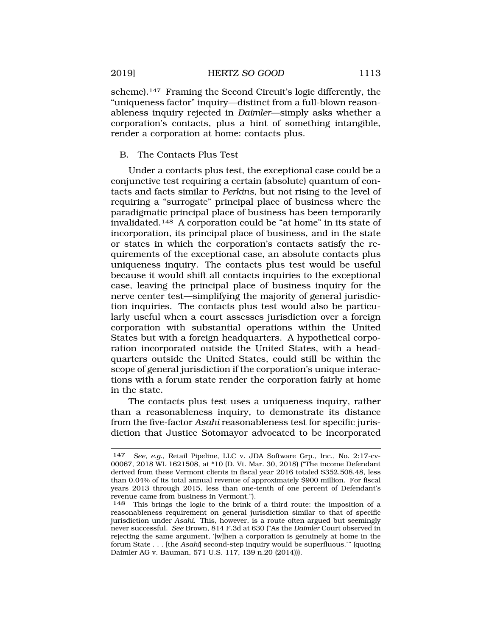<span id="page-28-0"></span>scheme).<sup>147</sup> Framing the Second Circuit's logic differently, the "uniqueness factor" inquiry—distinct from a full-blown reasonableness inquiry rejected in *Daimler*—simply asks whether a corporation's contacts, plus a hint of something intangible, render a corporation at home: contacts plus.

# B. The Contacts Plus Test

Under a contacts plus test, the exceptional case could be a conjunctive test requiring a certain (absolute) quantum of contacts and facts similar to *Perkins*, but not rising to the level of requiring a "surrogate" principal place of business where the paradigmatic principal place of business has been temporarily invalidated.148 A corporation could be "at home" in its state of incorporation, its principal place of business, and in the state or states in which the corporation's contacts satisfy the requirements of the exceptional case, an absolute contacts plus uniqueness inquiry. The contacts plus test would be useful because it would shift all contacts inquiries to the exceptional case, leaving the principal place of business inquiry for the nerve center test—simplifying the majority of general jurisdiction inquiries. The contacts plus test would also be particularly useful when a court assesses jurisdiction over a foreign corporation with substantial operations within the United States but with a foreign headquarters. A hypothetical corporation incorporated outside the United States, with a headquarters outside the United States, could still be within the scope of general jurisdiction if the corporation's unique interactions with a forum state render the corporation fairly at home in the state.

The contacts plus test uses a uniqueness inquiry, rather than a reasonableness inquiry, to demonstrate its distance from the five-factor *Asahi* reasonableness test for specific jurisdiction that Justice Sotomayor advocated to be incorporated

<sup>147</sup> *See, e.g.*, Retail Pipeline, LLC v. JDA Software Grp., Inc., No. 2:17-cv-00067, 2018 WL 1621508, at \*10 (D. Vt. Mar. 30, 2018) ("The income Defendant derived from these Vermont clients in fiscal year 2016 totaled \$352,508.48, less than 0.04% of its total annual revenue of approximately \$900 million. For fiscal years 2013 through 2015, less than one-tenth of one percent of Defendant's revenue came from business in Vermont.").

<sup>148</sup> This brings the logic to the brink of a third route: the imposition of a reasonableness requirement on general jurisdiction similar to that of specific jurisdiction under *Asahi*. This, however, is a route often argued but seemingly never successful. *See* Brown, 814 F.3d at 630 ("As the *Daimler* Court observed in rejecting the same argument, '[w]hen a corporation is genuinely at home in the forum State . . . [the *Asahi*] second-step inquiry would be superfluous.'" (quoting Daimler AG v. Bauman, 571 U.S. 117, 139 n.20 (2014))).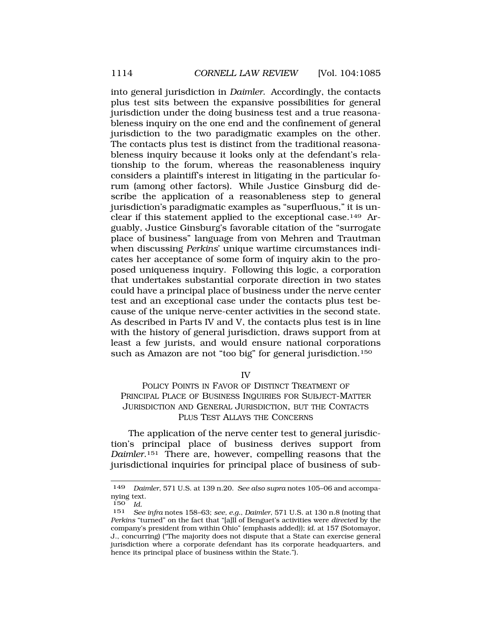<span id="page-29-0"></span>into general jurisdiction in *Daimler*. Accordingly, the contacts plus test sits between the expansive possibilities for general jurisdiction under the doing business test and a true reasonableness inquiry on the one end and the confinement of general jurisdiction to the two paradigmatic examples on the other. The contacts plus test is distinct from the traditional reasonableness inquiry because it looks only at the defendant's relationship to the forum, whereas the reasonableness inquiry considers a plaintiff's interest in litigating in the particular forum (among other factors). While Justice Ginsburg did describe the application of a reasonableness step to general jurisdiction's paradigmatic examples as "superfluous," it is unclear if this statement applied to the exceptional case.149 Arguably, Justice Ginsburg's favorable citation of the "surrogate place of business" language from von Mehren and Trautman when discussing *Perkins*' unique wartime circumstances indicates her acceptance of some form of inquiry akin to the proposed uniqueness inquiry. Following this logic, a corporation that undertakes substantial corporate direction in two states could have a principal place of business under the nerve center test and an exceptional case under the contacts plus test because of the unique nerve-center activities in the second state. As described in Parts IV and V, the contacts plus test is in line with the history of general jurisdiction, draws support from at least a few jurists, and would ensure national corporations such as Amazon are not "too big" for general jurisdiction.<sup>150</sup>

IV

POLICY POINTS IN FAVOR OF DISTINCT TREATMENT OF PRINCIPAL PLACE OF BUSINESS INQUIRIES FOR SUBJECT-MATTER JURISDICTION AND GENERAL JURISDICTION, BUT THE CONTACTS PLUS TEST ALLAYS THE CONCERNS

The application of the nerve center test to general jurisdiction's principal place of business derives support from *Daimler*.151 There are, however, compelling reasons that the jurisdictional inquiries for principal place of business of sub-

<sup>149</sup> *Daimler*, 571 U.S. at 139 n.20. *See also supra* notes 105–06 and accompanying text.

 $\frac{150}{151}$  *Id.* 

<sup>151</sup> *See infra* notes 158–63; *see, e.g.*, *Daimler*, 571 U.S. at 130 n.8 (noting that *Perkins* "turned" on the fact that "[a]ll of Benguet's activities were *directed* by the company's president from within Ohio" (emphasis added)); *id.* at 157 (Sotomayor, J., concurring) ("The majority does not dispute that a State can exercise general jurisdiction where a corporate defendant has its corporate headquarters, and hence its principal place of business within the State.").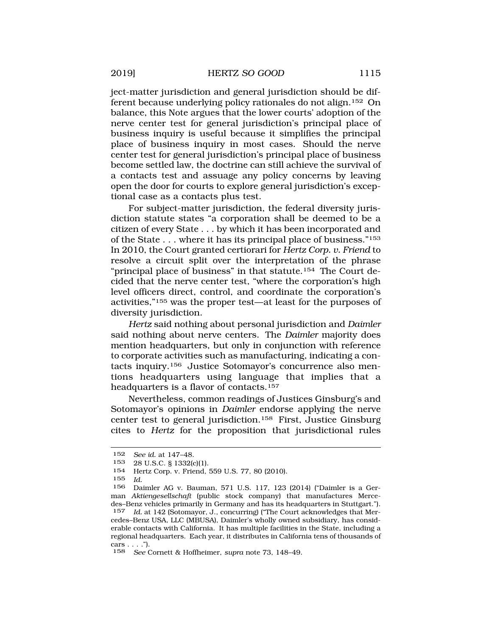ject-matter jurisdiction and general jurisdiction should be different because underlying policy rationales do not align.152 On balance, this Note argues that the lower courts' adoption of the nerve center test for general jurisdiction's principal place of business inquiry is useful because it simplifies the principal place of business inquiry in most cases. Should the nerve center test for general jurisdiction's principal place of business become settled law, the doctrine can still achieve the survival of a contacts test and assuage any policy concerns by leaving open the door for courts to explore general jurisdiction's exceptional case as a contacts plus test.

For subject-matter jurisdiction, the federal diversity jurisdiction statute states "a corporation shall be deemed to be a citizen of every State . . . by which it has been incorporated and of the State . . . where it has its principal place of business."153 In 2010, the Court granted certiorari for *Hertz Corp. v. Friend* to resolve a circuit split over the interpretation of the phrase "principal place of business" in that statute.<sup>154</sup> The Court decided that the nerve center test, "where the corporation's high level officers direct, control, and coordinate the corporation's activities,"155 was the proper test—at least for the purposes of diversity jurisdiction.

*Hertz* said nothing about personal jurisdiction and *Daimler*  said nothing about nerve centers. The *Daimler* majority does mention headquarters, but only in conjunction with reference to corporate activities such as manufacturing, indicating a contacts inquiry.156 Justice Sotomayor's concurrence also mentions headquarters using language that implies that a headquarters is a flavor of contacts.<sup>157</sup>

Nevertheless, common readings of Justices Ginsburg's and Sotomayor's opinions in *Daimler* endorse applying the nerve center test to general jurisdiction.158 First, Justice Ginsburg cites to *Hertz* for the proposition that jurisdictional rules

155 *Id.* 

<sup>152</sup> *See id.* at 147–48.

<sup>153 28</sup> U.S.C. § 1332(c)(1).<br>154 Hertz Corn v Friend

Hertz Corp. v. Friend, 559 U.S. 77, 80 (2010).

<sup>156</sup> Daimler AG v. Bauman, 571 U.S. 117, 123 (2014) ("Daimler is a German *Aktiengesellschaft* (public stock company) that manufactures Mercedes–Benz vehicles primarily in Germany and has its headquarters in Stuttgart.").<br>157 Id. at 142 (Sotomayor, J., concurring) ("The Court acknowledges that Mer-Id. at 142 (Sotomayor, J., concurring) ("The Court acknowledges that Mercedes–Benz USA, LLC (MBUSA), Daimler's wholly owned subsidiary, has considerable contacts with California. It has multiple facilities in the State, including a regional headquarters. Each year, it distributes in California tens of thousands of cars . . . .").

<sup>158</sup> *See* Cornett & Hoffheimer, *supra* note 73, 148–49.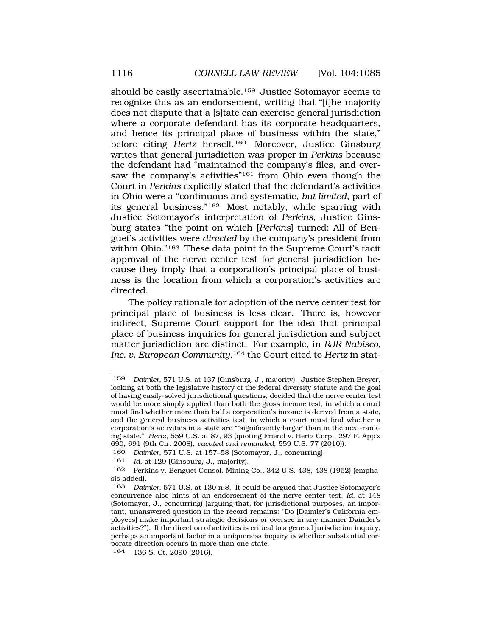should be easily ascertainable.159 Justice Sotomayor seems to recognize this as an endorsement, writing that "[t]he majority does not dispute that a [s]tate can exercise general jurisdiction where a corporate defendant has its corporate headquarters, and hence its principal place of business within the state," before citing *Hertz* herself.160 Moreover, Justice Ginsburg writes that general jurisdiction was proper in *Perkins* because the defendant had "maintained the company's files, and oversaw the company's activities"<sup>161</sup> from Ohio even though the Court in *Perkins* explicitly stated that the defendant's activities in Ohio were a "continuous and systematic, *but limited*, part of its general business."162 Most notably, while sparring with Justice Sotomayor's interpretation of *Perkins*, Justice Ginsburg states "the point on which [*Perkins*] turned: All of Benguet's activities were *directed* by the company's president from within Ohio."163 These data point to the Supreme Court's tacit approval of the nerve center test for general jurisdiction because they imply that a corporation's principal place of business is the location from which a corporation's activities are directed.

The policy rationale for adoption of the nerve center test for principal place of business is less clear. There is, however indirect, Supreme Court support for the idea that principal place of business inquiries for general jurisdiction and subject matter jurisdiction are distinct. For example, in *RJR Nabisco,*  Inc. v. European Community,<sup>164</sup> the Court cited to *Hertz* in stat-

<sup>159</sup> *Daimler*, 571 U.S. at 137 (Ginsburg, J., majority). Justice Stephen Breyer, looking at both the legislative history of the federal diversity statute and the goal of having easily-solved jurisdictional questions, decided that the nerve center test would be more simply applied than both the gross income test, in which a court must find whether more than half a corporation's income is derived from a state, and the general business activities test, in which a court must find whether a corporation's activities in a state are "'significantly larger' than in the next-ranking state." *Hertz*, 559 U.S. at 87, 93 (quoting Friend v. Hertz Corp., 297 F. App'x 690, 691 (9th Cir. 2008), *vacated and remanded*, 559 U.S. 77 (2010)).

<sup>160</sup> *Daimler*, 571 U.S. at 157–58 (Sotomayor, J., concurring).

<sup>161</sup> *Id.* at 129 (Ginsburg, J., majority).

<sup>162</sup> Perkins v. Benguet Consol. Mining Co., 342 U.S. 438, 438 (1952) (emphasis added).

<sup>163</sup> *Daimler*, 571 U.S. at 130 n.8. It could be argued that Justice Sotomayor's concurrence also hints at an endorsement of the nerve center test. *Id.* at 148 (Sotomayor, J., concurring) (arguing that, for jurisdictional purposes, an important, unanswered question in the record remains: "Do [Daimler's California employees] make important strategic decisions or oversee in any manner Daimler's activities?"). If the direction of activities is critical to a general jurisdiction inquiry, perhaps an important factor in a uniqueness inquiry is whether substantial corporate direction occurs in more than one state.<br>164 136 S Ct 2090 (2016)

<sup>136</sup> S. Ct. 2090 (2016).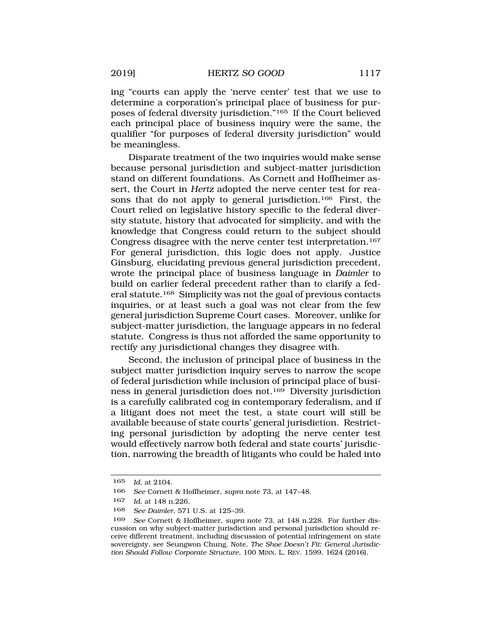ing "courts can apply the 'nerve center' test that we use to determine a corporation's principal place of business for purposes of federal diversity jurisdiction."165 If the Court believed each principal place of business inquiry were the same, the qualifier "for purposes of federal diversity jurisdiction" would be meaningless.

Disparate treatment of the two inquiries would make sense because personal jurisdiction and subject-matter jurisdiction stand on different foundations. As Cornett and Hoffheimer assert, the Court in *Hertz* adopted the nerve center test for reasons that do not apply to general jurisdiction.166 First, the Court relied on legislative history specific to the federal diversity statute, history that advocated for simplicity, and with the knowledge that Congress could return to the subject should Congress disagree with the nerve center test interpretation.167 For general jurisdiction, this logic does not apply. Justice Ginsburg, elucidating previous general jurisdiction precedent, wrote the principal place of business language in *Daimler* to build on earlier federal precedent rather than to clarify a federal statute.168 Simplicity was not the goal of previous contacts inquiries, or at least such a goal was not clear from the few general jurisdiction Supreme Court cases. Moreover, unlike for subject-matter jurisdiction, the language appears in no federal statute. Congress is thus not afforded the same opportunity to rectify any jurisdictional changes they disagree with.

Second, the inclusion of principal place of business in the subject matter jurisdiction inquiry serves to narrow the scope of federal jurisdiction while inclusion of principal place of business in general jurisdiction does not.169 Diversity jurisdiction is a carefully calibrated cog in contemporary federalism, and if a litigant does not meet the test, a state court will still be available because of state courts' general jurisdiction. Restricting personal jurisdiction by adopting the nerve center test would effectively narrow both federal and state courts' jurisdiction, narrowing the breadth of litigants who could be haled into

<sup>165</sup> *Id.* at 2104.

<sup>166</sup> *See* Cornett & Hoffheimer, *supra* note 73, at 147–48.

<sup>167</sup> *Id.* at 148 n.226.

<sup>168</sup> *See Daimler*, 571 U.S. at 125–39.

<sup>169</sup> *See* Cornett & Hoffheimer, *supra* note 73, at 148 n.228. For further discussion on why subject-matter jurisdiction and personal jurisdiction should receive different treatment, including discussion of potential infringement on state sovereignty, see Seungwon Chung, Note, *The Shoe Doesn't Fit: General Jurisdiction Should Follow Corporate Structure*, 100 MINN. L. REV. 1599, 1624 (2016).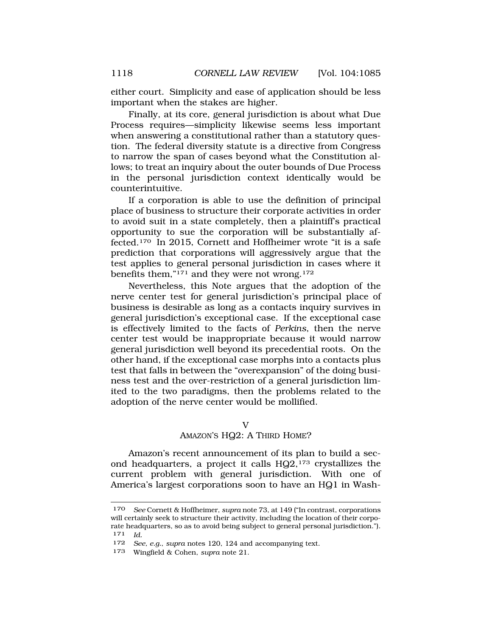<span id="page-33-0"></span>either court. Simplicity and ease of application should be less important when the stakes are higher.

Finally, at its core, general jurisdiction is about what Due Process requires—simplicity likewise seems less important when answering a constitutional rather than a statutory question. The federal diversity statute is a directive from Congress to narrow the span of cases beyond what the Constitution allows; to treat an inquiry about the outer bounds of Due Process in the personal jurisdiction context identically would be counterintuitive.

If a corporation is able to use the definition of principal place of business to structure their corporate activities in order to avoid suit in a state completely, then a plaintiff's practical opportunity to sue the corporation will be substantially affected.170 In 2015, Cornett and Hoffheimer wrote "it is a safe prediction that corporations will aggressively argue that the test applies to general personal jurisdiction in cases where it benefits them,"171 and they were not wrong.172

Nevertheless, this Note argues that the adoption of the nerve center test for general jurisdiction's principal place of business is desirable as long as a contacts inquiry survives in general jurisdiction's exceptional case. If the exceptional case is effectively limited to the facts of *Perkins*, then the nerve center test would be inappropriate because it would narrow general jurisdiction well beyond its precedential roots. On the other hand, if the exceptional case morphs into a contacts plus test that falls in between the "overexpansion" of the doing business test and the over-restriction of a general jurisdiction limited to the two paradigms, then the problems related to the adoption of the nerve center would be mollified.

#### V

#### AMAZON'S HQ2: A THIRD HOME?

Amazon's recent announcement of its plan to build a second headquarters, a project it calls  $HQ2$ ,  $173$  crystallizes the current problem with general jurisdiction. With one of America's largest corporations soon to have an HQ1 in Wash-

<sup>170</sup> *See* Cornett & Hoffheimer, *supra* note 73, at 149 ("In contrast, corporations will certainly seek to structure their activity, including the location of their corporate headquarters, so as to avoid being subject to general personal jurisdiction."). 171 *Id.* 

<sup>172</sup> *See, e.g.*, *supra* notes 120, 124 and accompanying text.

<sup>173</sup> Wingfield & Cohen, *supra* note 21.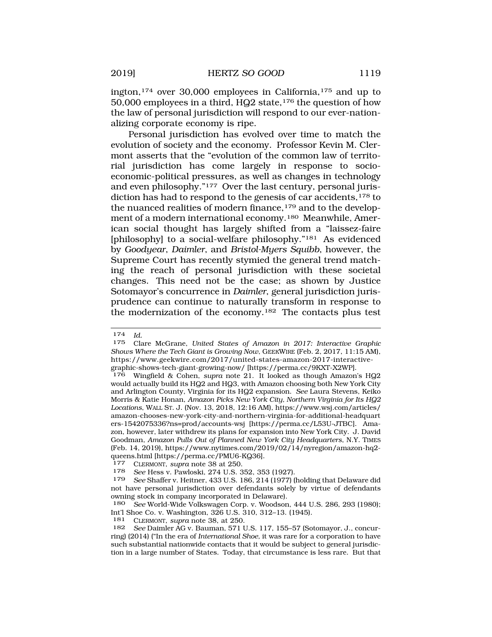ington,174 over 30,000 employees in California,175 and up to 50,000 employees in a third, HQ2 state,176 the question of how the law of personal jurisdiction will respond to our ever-nationalizing corporate economy is ripe.

Personal jurisdiction has evolved over time to match the evolution of society and the economy. Professor Kevin M. Clermont asserts that the "evolution of the common law of territorial jurisdiction has come largely in response to socioeconomic-political pressures, as well as changes in technology and even philosophy."177 Over the last century, personal jurisdiction has had to respond to the genesis of car accidents, 178 to the nuanced realities of modern finance,<sup>179</sup> and to the development of a modern international economy.180 Meanwhile, American social thought has largely shifted from a "laissez-faire [philosophy] to a social-welfare philosophy."<sup>181</sup> As evidenced by *Goodyear*, *Daimler*, and *Bristol-Myers Squibb*, however, the Supreme Court has recently stymied the general trend matching the reach of personal jurisdiction with these societal changes. This need not be the case; as shown by Justice Sotomayor's concurrence in *Daimler*, general jurisdiction jurisprudence can continue to naturally transform in response to the modernization of the economy.182 The contacts plus test

181 CLERMONT, *supra* note 38, at 250.

<sup>174</sup> *Id.* 

<sup>175</sup> Clare McGrane, *United States of Amazon in 2017: Interactive Graphic Shows Where the Tech Giant is Growing Now*, GEEKWIRE (Feb. 2, 2017, 11:15 AM), https://www.geekwire.com/2017/united-states-amazon-2017-interactivegraphic-shows-tech-giant-growing-now/ [https://perma.cc/9KXT-X2WP].

<sup>176</sup> Wingfield & Cohen, *supra* note 21. It looked as though Amazon's HQ2 would actually build its HQ2 and HQ3, with Amazon choosing both New York City and Arlington County, Virginia for its HQ2 expansion. *See* Laura Stevens, Keiko Morris & Katie Honan, *Amazon Picks New York City, Northern Virginia for Its HQ2 Locations*, WALL ST. J. (Nov. 13, 2018, 12:16 AM), https://www.wsj.com/articles/ amazon-chooses-new-york-city-and-northern-virginia-for-additional-headquart ers-1542075336?ns=prod/accounts-wsj [https://perma.cc/L53U-JTBC]. Amazon, however, later withdrew its plans for expansion into New York City. J. David Goodman, *Amazon Pulls Out of Planned New York City Headquarters*, N.Y. TIMES (Feb. 14, 2019), https://www.nytimes.com/2019/02/14/nyregion/amazon-hq2 queens.html [https://perma.cc/PMU6-KQ36]. 177 CLERMONT, *supra* note 38 at 250.

<sup>178</sup> *See* Hess v. Pawloski, 274 U.S. 352, 353 (1927).

See Shaffer v. Heitner, 433 U.S. 186, 214 (1977) (holding that Delaware did not have personal jurisdiction over defendants solely by virtue of defendants owning stock in company incorporated in Delaware).

<sup>180</sup> *See* World-Wide Volkswagen Corp. v. Woodson, 444 U.S. 286, 293 (1980); Int'l Shoe Co. v. Washington, 326 U.S. 310, 312–13. (1945).

<sup>182</sup> *See* Daimler AG v. Bauman, 571 U.S. 117, 155–57 (Sotomayor, J., concurring) (2014) ("In the era of *International Shoe,* it was rare for a corporation to have such substantial nationwide contacts that it would be subject to general jurisdiction in a large number of States. Today, that circumstance is less rare. But that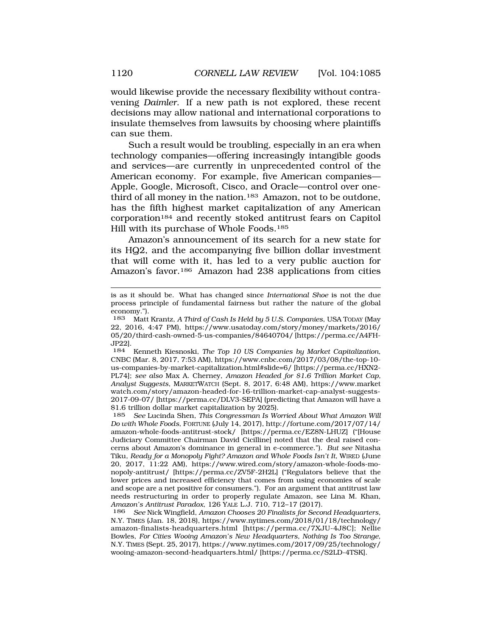would likewise provide the necessary flexibility without contravening *Daimler*. If a new path is not explored, these recent decisions may allow national and international corporations to insulate themselves from lawsuits by choosing where plaintiffs can sue them.

Such a result would be troubling, especially in an era when technology companies—offering increasingly intangible goods and services—are currently in unprecedented control of the American economy. For example, five American companies— Apple, Google, Microsoft, Cisco, and Oracle—control over onethird of all money in the nation.<sup>183</sup> Amazon, not to be outdone, has the fifth highest market capitalization of any American corporation184 and recently stoked antitrust fears on Capitol Hill with its purchase of Whole Foods.185

Amazon's announcement of its search for a new state for its HQ2, and the accompanying five billion dollar investment that will come with it, has led to a very public auction for Amazon's favor.186 Amazon had 238 applications from cities

is as it should be. What has changed since *International Shoe* is not the due process principle of fundamental fairness but rather the nature of the global economy.").

<sup>183</sup> Matt Krantz, *A Third of Cash Is Held by 5 U.S. Companies*, USA TODAY (May 22, 2016, 4:47 PM), https://www.usatoday.com/story/money/markets/2016/ 05/20/third-cash-owned-5-us-companies/84640704/ [https://perma.cc/A4FH-JP22].

<sup>184</sup> Kenneth Kiesnoski, *The Top 10 US Companies by Market Capitalization*, CNBC (Mar. 8, 2017, 7:53 AM), https://www.cnbc.com/2017/03/08/the-top-10 us-companies-by-market-capitalization.html#slide=6/ [https://perma.cc/HXN2- PL74]; *see also* Max A. Cherney, *Amazon Headed for \$1.6 Trillion Market Cap, Analyst Suggests*, MARKETWATCH (Sept. 8, 2017, 6:48 AM), https://www.market watch.com/story/amazon-headed-for-16-trillion-market-cap-analyst-suggests-2017-09-07/ [https://perma.cc/DLV3-SEPA] (predicting that Amazon will have a \$1.6 trillion dollar market capitalization by 2025).

<sup>185</sup> *See* Lucinda Shen, *This Congressman Is Worried About What Amazon Will Do with Whole Foods*, FORTUNE (July 14, 2017), http://fortune.com/2017/07/14/ amazon-whole-foods-antitrust-stock/ [https://perma.cc/EZ8N-LHUZ] ("[House Judiciary Committee Chairman David Cicilline] noted that the deal raised concerns about Amazon's dominance in general in e-commerce."). *But see* Nitasha Tiku, *Ready for a Monopoly Fight? Amazon and Whole Foods Isn't It*, WIRED (June 20, 2017, 11:22 AM), https://www.wired.com/story/amazon-whole-foods-monopoly-antitrust/ [https://perma.cc/ZV5F-2H2L] ("Regulators believe that the lower prices and increased efficiency that comes from using economies of scale and scope are a net positive for consumers."). For an argument that antitrust law needs restructuring in order to properly regulate Amazon, see Lina M. Khan, *Amazon's Antitrust Paradox*, 126 YALE L.J. 710, 712–17 (2017).

<sup>186</sup> *See* Nick Wingfield, *Amazon Chooses 20 Finalists for Second Headquarters*, N.Y. TIMES (Jan. 18, 2018), https://www.nytimes.com/2018/01/18/technology/ amazon-finalists-headquarters.html [https://perma.cc/7XJU-4J8C]; Nellie Bowles, *For Cities Wooing Amazon's New Headquarters, Nothing Is Too Strange*, N.Y. TIMES (Sept. 25, 2017), https://www.nytimes.com/2017/09/25/technology/ wooing-amazon-second-headquarters.html/ [https://perma.cc/S2LD-4TSK].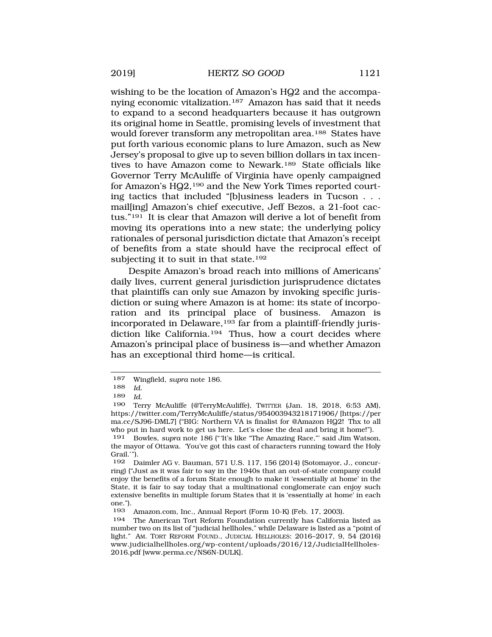wishing to be the location of Amazon's HQ2 and the accompanying economic vitalization.187 Amazon has said that it needs to expand to a second headquarters because it has outgrown its original home in Seattle, promising levels of investment that would forever transform any metropolitan area.<sup>188</sup> States have put forth various economic plans to lure Amazon, such as New Jersey's proposal to give up to seven billion dollars in tax incentives to have Amazon come to Newark.189 State officials like Governor Terry McAuliffe of Virginia have openly campaigned for Amazon's HQ2,190 and the New York Times reported courting tactics that included "[b]usiness leaders in Tucson . . . mail[ing] Amazon's chief executive, Jeff Bezos, a 21-foot cactus."191 It is clear that Amazon will derive a lot of benefit from moving its operations into a new state; the underlying policy rationales of personal jurisdiction dictate that Amazon's receipt of benefits from a state should have the reciprocal effect of subjecting it to suit in that state.<sup>192</sup>

Despite Amazon's broad reach into millions of Americans' daily lives, current general jurisdiction jurisprudence dictates that plaintiffs can only sue Amazon by invoking specific jurisdiction or suing where Amazon is at home: its state of incorporation and its principal place of business. Amazon is incorporated in Delaware,<sup>193</sup> far from a plaintiff-friendly jurisdiction like California.<sup>194</sup> Thus, how a court decides where Amazon's principal place of business is—and whether Amazon has an exceptional third home—is critical.

<sup>187</sup> Wingfield, *supra* note 186.

<sup>188</sup> *Id.* 

<sup>189</sup> *Id.* 

<sup>190</sup> Terry McAuliffe (@TerryMcAuliffe), TWITTER (Jan. 18, 2018, 6:53 AM), https://twitter.com/TerryMcAuliffe/status/954003943218171906/ [https://per ma.cc/SJ96-DML7] ("BIG: Northern VA is finalist for @Amazon HQ2! Thx to all who put in hard work to get us here. Let's close the deal and bring it home!").

<sup>191</sup> Bowles, *supra* note 186 ("'It's like "The Amazing Race,"' said Jim Watson, the mayor of Ottawa. 'You've got this cast of characters running toward the Holy Grail.'").

<sup>192</sup> Daimler AG v. Bauman, 571 U.S. 117, 156 (2014) (Sotomayor, J., concurring) ("Just as it was fair to say in the 1940s that an out-of-state company could enjoy the benefits of a forum State enough to make it 'essentially at home' in the State, it is fair to say today that a multinational conglomerate can enjoy such extensive benefits in multiple forum States that it is 'essentially at home' in each one.").

<sup>193</sup> Amazon.com, Inc., Annual Report (Form 10-K) (Feb. 17, 2003).

<sup>194</sup> The American Tort Reform Foundation currently has California listed as number two on its list of "judicial hellholes," while Delaware is listed as a "point of light." AM. TORT REFORM FOUND., JUDICIAL HELLHOLES: 2016–2017, 9, 54 (2016) www.judicialhellholes.org/wp-content/uploads/2016/12/JudicialHellholes-2016.pdf [www.perma.cc/NS6N-DULK].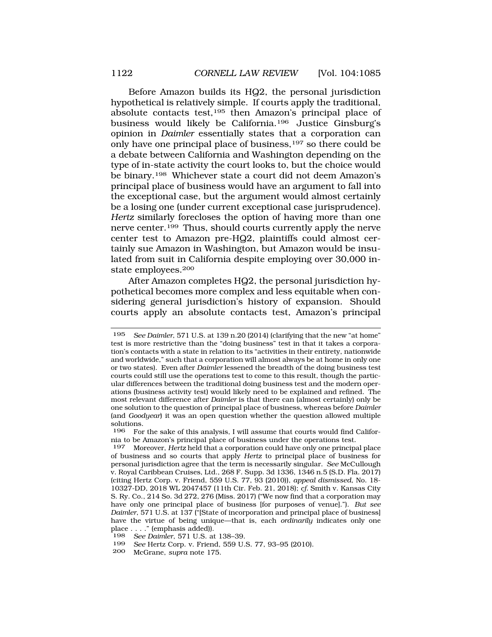Before Amazon builds its HQ2, the personal jurisdiction hypothetical is relatively simple. If courts apply the traditional, absolute contacts test,195 then Amazon's principal place of business would likely be California.196 Justice Ginsburg's opinion in *Daimler* essentially states that a corporation can only have one principal place of business,197 so there could be a debate between California and Washington depending on the type of in-state activity the court looks to, but the choice would be binary.198 Whichever state a court did not deem Amazon's principal place of business would have an argument to fall into the exceptional case, but the argument would almost certainly be a losing one (under current exceptional case jurisprudence). *Hertz* similarly forecloses the option of having more than one nerve center.199 Thus, should courts currently apply the nerve center test to Amazon pre-HQ2, plaintiffs could almost certainly sue Amazon in Washington, but Amazon would be insulated from suit in California despite employing over 30,000 instate employees.200

After Amazon completes HQ2, the personal jurisdiction hypothetical becomes more complex and less equitable when considering general jurisdiction's history of expansion. Should courts apply an absolute contacts test, Amazon's principal

200 McGrane, *supra* note 175.

<sup>195</sup> *See Daimler*, 571 U.S. at 139 n.20 (2014) (clarifying that the new "at home" test is more restrictive than the "doing business" test in that it takes a corporation's contacts with a state in relation to its "activities in their entirety, nationwide and worldwide," such that a corporation will almost always be at home in only one or two states). Even after *Daimler* lessened the breadth of the doing business test courts could still use the operations test to come to this result, though the particular differences between the traditional doing business test and the modern operations (business activity test) would likely need to be explained and refined. The most relevant difference after *Daimler* is that there can (almost certainly) only be one solution to the question of principal place of business, whereas before *Daimler*  (and *Goodyear*) it was an open question whether the question allowed multiple solutions.<br>196 For

For the sake of this analysis, I will assume that courts would find California to be Amazon's principal place of business under the operations test.

<sup>197</sup> Moreover, *Hertz* held that a corporation could have only one principal place of business and so courts that apply *Hertz* to principal place of business for personal jurisdiction agree that the term is necessarily singular. *See* McCullough v. Royal Caribbean Cruises, Ltd., 268 F. Supp. 3d 1336, 1346 n.5 (S.D. Fla. 2017) (citing Hertz Corp. v. Friend, 559 U.S. 77, 93 (2010)), *appeal dismissed*, No. 18- 10327-DD, 2018 WL 2047457 (11th Cir. Feb. 21, 2018); *cf.* Smith v. Kansas City S. Ry. Co., 214 So. 3d 272, 276 (Miss. 2017) ("We now find that a corporation may have only one principal place of business [for purposes of venue]."). *But see Daimler*, 571 U.S. at 137 ("[State of incorporation and principal place of business] have the virtue of being unique—that is, each *ordinarily* indicates only one place . . . ." (emphasis added)).

<sup>198</sup> *See Daimler*, 571 U.S. at 138–39.

See Hertz Corp. v. Friend, 559 U.S. 77, 93-95 (2010).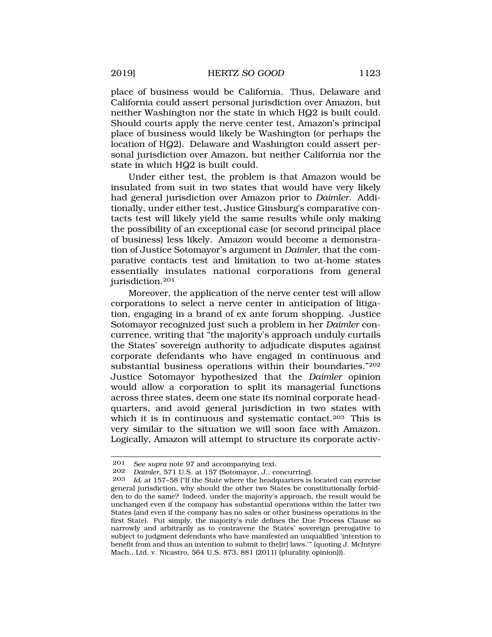place of business would be California. Thus, Delaware and California could assert personal jurisdiction over Amazon, but neither Washington nor the state in which HQ2 is built could. Should courts apply the nerve center test, Amazon's principal place of business would likely be Washington (or perhaps the location of HQ2). Delaware and Washington could assert personal jurisdiction over Amazon, but neither California nor the state in which HQ2 is built could.

Under either test, the problem is that Amazon would be insulated from suit in two states that would have very likely had general jurisdiction over Amazon prior to *Daimler*. Additionally, under either test, Justice Ginsburg's comparative contacts test will likely yield the same results while only making the possibility of an exceptional case (or second principal place of business) less likely. Amazon would become a demonstration of Justice Sotomayor's argument in *Daimler*, that the comparative contacts test and limitation to two at-home states essentially insulates national corporations from general jurisdiction.201

Moreover, the application of the nerve center test will allow corporations to select a nerve center in anticipation of litigation, engaging in a brand of ex ante forum shopping. Justice Sotomayor recognized just such a problem in her *Daimler* concurrence, writing that "the majority's approach unduly curtails the States' sovereign authority to adjudicate disputes against corporate defendants who have engaged in continuous and substantial business operations within their boundaries."202 Justice Sotomayor hypothesized that the *Daimler* opinion would allow a corporation to split its managerial functions across three states, deem one state its nominal corporate headquarters, and avoid general jurisdiction in two states with which it is in continuous and systematic contact.<sup>203</sup> This is very similar to the situation we will soon face with Amazon. Logically, Amazon will attempt to structure its corporate activ-

<sup>201</sup> *See supra* note 97 and accompanying text.

<sup>202</sup> *Daimler*, 571 U.S. at 157 (Sotomayor, J., concurring).

Id. at 157–58 ("If the State where the headquarters is located can exercise general jurisdiction, why should the other two States be constitutionally forbidden to do the same? Indeed, under the majority's approach, the result would be unchanged even if the company has substantial operations within the latter two States (and even if the company has no sales or other business operations in the first State). Put simply, the majority's rule defines the Due Process Clause so narrowly and arbitrarily as to contravene the States' sovereign prerogative to subject to judgment defendants who have manifested an unqualified 'intention to benefit from and thus an intention to submit to the[ir] laws.'" (quoting J. McIntyre Mach., Ltd. v. Nicastro, 564 U.S. 873, 881 (2011) (plurality opinion))).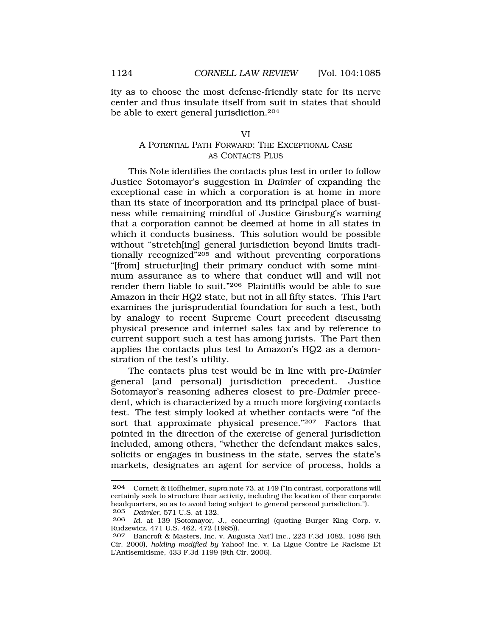<span id="page-39-0"></span>ity as to choose the most defense-friendly state for its nerve center and thus insulate itself from suit in states that should be able to exert general jurisdiction.204

#### VI

# A POTENTIAL PATH FORWARD: THE EXCEPTIONAL CASE AS CONTACTS PLUS

This Note identifies the contacts plus test in order to follow Justice Sotomayor's suggestion in *Daimler* of expanding the exceptional case in which a corporation is at home in more than its state of incorporation and its principal place of business while remaining mindful of Justice Ginsburg's warning that a corporation cannot be deemed at home in all states in which it conducts business. This solution would be possible without "stretch[ing] general jurisdiction beyond limits traditionally recognized"205 and without preventing corporations "[from] structur[ing] their primary conduct with some minimum assurance as to where that conduct will and will not render them liable to suit."206 Plaintiffs would be able to sue Amazon in their HQ2 state, but not in all fifty states. This Part examines the jurisprudential foundation for such a test, both by analogy to recent Supreme Court precedent discussing physical presence and internet sales tax and by reference to current support such a test has among jurists. The Part then applies the contacts plus test to Amazon's HQ2 as a demonstration of the test's utility.

The contacts plus test would be in line with pre-*Daimler*  general (and personal) jurisdiction precedent. Justice Sotomayor's reasoning adheres closest to pre-*Daimler* precedent, which is characterized by a much more forgiving contacts test. The test simply looked at whether contacts were "of the sort that approximate physical presence."207 Factors that pointed in the direction of the exercise of general jurisdiction included, among others, "whether the defendant makes sales, solicits or engages in business in the state, serves the state's markets, designates an agent for service of process, holds a

<sup>204</sup> Cornett & Hoffheimer, *supra* note 73, at 149 ("In contrast, corporations will certainly seek to structure their activity, including the location of their corporate headquarters, so as to avoid being subject to general personal jurisdiction.").<br>205 Daimler 571 U.S. at 132 205 *Daimler*, 571 U.S. at 132.

<sup>206</sup> *Id.* at 139 (Sotomayor, J., concurring) (quoting Burger King Corp. v. Rudzewicz, 471 U.S. 462, 472 (1985)).

<sup>207</sup> Bancroft & Masters, Inc. v. Augusta Nat'l Inc., 223 F.3d 1082, 1086 (9th Cir. 2000), *holding modified by* Yahoo! Inc. v. La Ligue Contre Le Racisme Et L'Antisemitisme, 433 F.3d 1199 (9th Cir. 2006).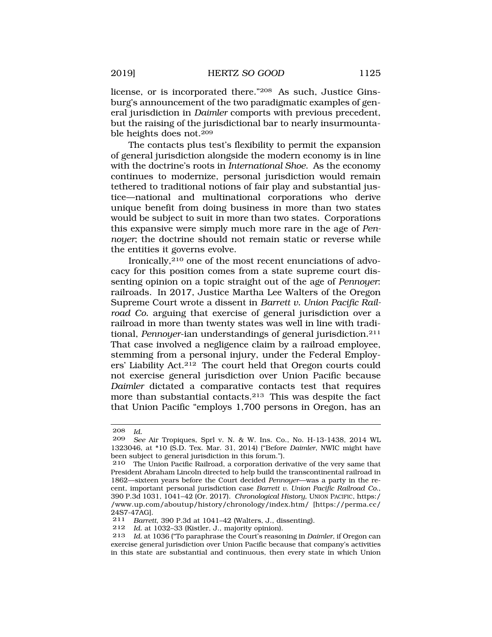license, or is incorporated there."208 As such, Justice Ginsburg's announcement of the two paradigmatic examples of general jurisdiction in *Daimler* comports with previous precedent, but the raising of the jurisdictional bar to nearly insurmountable heights does not.209

The contacts plus test's flexibility to permit the expansion of general jurisdiction alongside the modern economy is in line with the doctrine's roots in *International Shoe*. As the economy continues to modernize, personal jurisdiction would remain tethered to traditional notions of fair play and substantial justice—national and multinational corporations who derive unique benefit from doing business in more than two states would be subject to suit in more than two states. Corporations this expansive were simply much more rare in the age of *Pennoyer*; the doctrine should not remain static or reverse while the entities it governs evolve.

Ironically,210 one of the most recent enunciations of advocacy for this position comes from a state supreme court dissenting opinion on a topic straight out of the age of *Pennoyer*: railroads. In 2017, Justice Martha Lee Walters of the Oregon Supreme Court wrote a dissent in *Barrett v. Union Pacific Railroad Co.* arguing that exercise of general jurisdiction over a railroad in more than twenty states was well in line with traditional, *Pennoyer*-ian understandings of general jurisdiction.211 That case involved a negligence claim by a railroad employee, stemming from a personal injury, under the Federal Employers' Liability Act.212 The court held that Oregon courts could not exercise general jurisdiction over Union Pacific because *Daimler* dictated a comparative contacts test that requires more than substantial contacts.213 This was despite the fact that Union Pacific "employs 1,700 persons in Oregon, has an

<sup>208</sup> *Id.* 

<sup>209</sup> *See* Air Tropiques, Sprl v. N. & W. Ins. Co., No. H-13-1438, 2014 WL 1323046, at \*10 (S.D. Tex. Mar. 31, 2014) ("Before *Daimler*, NWIC might have been subject to general jurisdiction in this forum.").

<sup>210</sup> The Union Pacific Railroad, a corporation derivative of the very same that President Abraham Lincoln directed to help build the transcontinental railroad in 1862—sixteen years before the Court decided *Pennoyer*—was a party in the recent, important personal jurisdiction case *Barrett v. Union Pacific Railroad Co.*, 390 P.3d 1031, 1041–42 (Or. 2017). *Chronological History*, UNION PACIFIC, https:/ /www.up.com/aboutup/history/chronology/index.htm/ [https://perma.cc/ 24S7-47AG].

<sup>211</sup> *Barrett*, 390 P.3d at 1041–42 (Walters, J., dissenting).<br>212 *Id at 1032–33 (Kistler J. majority opinion)* 

Id. at 1032-33 (Kistler, J., majority opinion).

<sup>213</sup> *Id.* at 1036 ("To paraphrase the Court's reasoning in *Daimler*, if Oregon can exercise general jurisdiction over Union Pacific because that company's activities in this state are substantial and continuous, then every state in which Union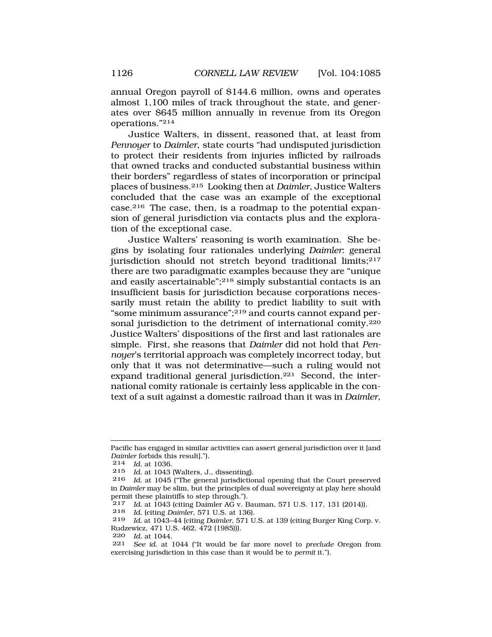annual Oregon payroll of \$144.6 million, owns and operates almost 1,100 miles of track throughout the state, and generates over \$645 million annually in revenue from its Oregon operations."214

Justice Walters, in dissent, reasoned that, at least from *Pennoyer* to *Daimler*, state courts "had undisputed jurisdiction to protect their residents from injuries inflicted by railroads that owned tracks and conducted substantial business within their borders" regardless of states of incorporation or principal places of business.215 Looking then at *Daimler*, Justice Walters concluded that the case was an example of the exceptional case.216 The case, then, is a roadmap to the potential expansion of general jurisdiction via contacts plus and the exploration of the exceptional case.

Justice Walters' reasoning is worth examination. She begins by isolating four rationales underlying *Daimler*: general jurisdiction should not stretch beyond traditional limits;<sup>217</sup> there are two paradigmatic examples because they are "unique and easily ascertainable";218 simply substantial contacts is an insufficient basis for jurisdiction because corporations necessarily must retain the ability to predict liability to suit with "some minimum assurance";219 and courts cannot expand personal jurisdiction to the detriment of international comity.220 Justice Walters' dispositions of the first and last rationales are simple. First, she reasons that *Daimler* did not hold that *Pennoyer*'s territorial approach was completely incorrect today, but only that it was not determinative—such a ruling would not expand traditional general jurisdiction.221 Second, the international comity rationale is certainly less applicable in the context of a suit against a domestic railroad than it was in *Daimler*,

218 *Id.* (citing *Daimler*, 571 U.S. at 136).

220 *Id.* at 1044.

Pacific has engaged in similar activities can assert general jurisdiction over it [and *Daimler* forbids this result].").

<sup>214</sup> *Id.* at 1036.

<sup>215</sup> *Id.* at 1043 (Walters, J., dissenting).

Id. at 1045 ("The general jurisdictional opening that the Court preserved in *Daimler* may be slim, but the principles of dual sovereignty at play here should permit these plaintiffs to step through.").<br> $217$  *Id at 1043 (citing Daimler AG v F* 

<sup>217</sup> *Id.* at  $1043$  (citing Daimler AG v. Bauman, 571 U.S. 117, 131 (2014)).<br>218 *Id.* (citing Daimler 571 U.S. at 136)

<sup>219</sup> *Id.* at 1043–44 (citing *Daimler*, 571 U.S. at 139 (citing Burger King Corp. v. Rudzewicz, 471 U.S. 462, 472 (1985))).

<sup>221</sup> *See id.* at 1044 ("It would be far more novel to *preclude* Oregon from exercising jurisdiction in this case than it would be to *permit* it.").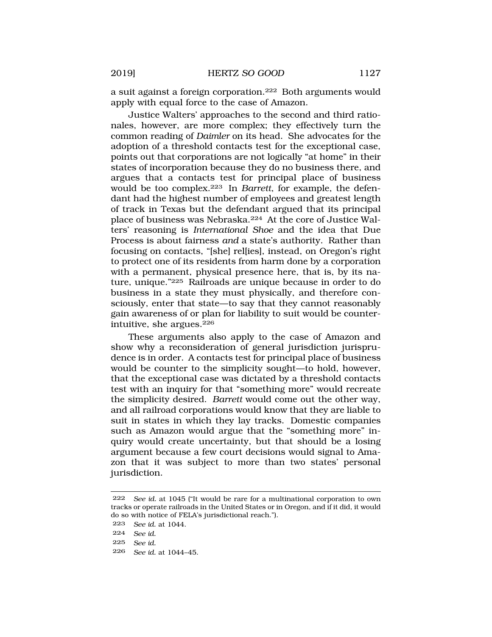a suit against a foreign corporation.222 Both arguments would apply with equal force to the case of Amazon.

Justice Walters' approaches to the second and third rationales, however, are more complex; they effectively turn the common reading of *Daimler* on its head. She advocates for the adoption of a threshold contacts test for the exceptional case, points out that corporations are not logically "at home" in their states of incorporation because they do no business there, and argues that a contacts test for principal place of business would be too complex.223 In *Barrett*, for example, the defendant had the highest number of employees and greatest length of track in Texas but the defendant argued that its principal place of business was Nebraska.224 At the core of Justice Walters' reasoning is *International Shoe* and the idea that Due Process is about fairness *and* a state's authority. Rather than focusing on contacts, "[she] rel[ies], instead, on Oregon's right to protect one of its residents from harm done by a corporation with a permanent, physical presence here, that is, by its nature, unique."225 Railroads are unique because in order to do business in a state they must physically, and therefore consciously, enter that state—to say that they cannot reasonably gain awareness of or plan for liability to suit would be counterintuitive, she argues.226

These arguments also apply to the case of Amazon and show why a reconsideration of general jurisdiction jurisprudence is in order. A contacts test for principal place of business would be counter to the simplicity sought—to hold, however, that the exceptional case was dictated by a threshold contacts test with an inquiry for that "something more" would recreate the simplicity desired. *Barrett* would come out the other way, and all railroad corporations would know that they are liable to suit in states in which they lay tracks. Domestic companies such as Amazon would argue that the "something more" inquiry would create uncertainty, but that should be a losing argument because a few court decisions would signal to Amazon that it was subject to more than two states' personal jurisdiction.

- 224 *See id.*
- 225 *See id.*
- 226 *See id.* at 1044–45.

<sup>222</sup> *See id.* at 1045 ("It would be rare for a multinational corporation to own tracks or operate railroads in the United States or in Oregon, and if it did, it would do so with notice of FELA's jurisdictional reach.").

<sup>223</sup> *See id.* at 1044.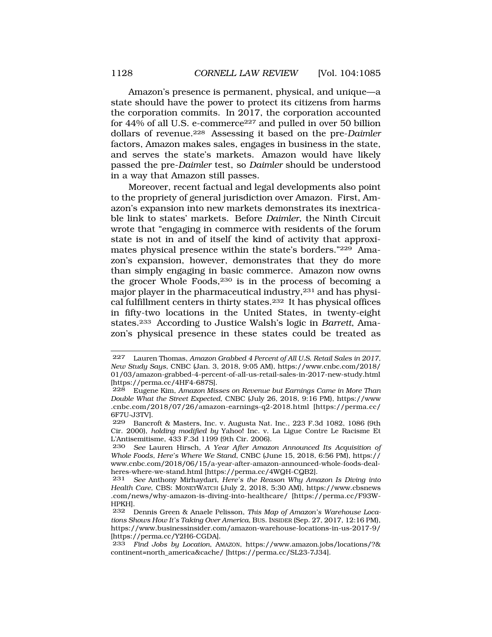Amazon's presence is permanent, physical, and unique—a state should have the power to protect its citizens from harms the corporation commits. In 2017, the corporation accounted for  $44\%$  of all U.S. e-commerce<sup>227</sup> and pulled in over 50 billion dollars of revenue.228 Assessing it based on the pre-*Daimler*  factors, Amazon makes sales, engages in business in the state, and serves the state's markets. Amazon would have likely passed the pre-*Daimler* test, so *Daimler* should be understood in a way that Amazon still passes.

Moreover, recent factual and legal developments also point to the propriety of general jurisdiction over Amazon. First, Amazon's expansion into new markets demonstrates its inextricable link to states' markets. Before *Daimler*, the Ninth Circuit wrote that "engaging in commerce with residents of the forum state is not in and of itself the kind of activity that approximates physical presence within the state's borders."229 Amazon's expansion, however, demonstrates that they do more than simply engaging in basic commerce. Amazon now owns the grocer Whole Foods,230 is in the process of becoming a major player in the pharmaceutical industry,231 and has physical fulfillment centers in thirty states.232 It has physical offices in fifty-two locations in the United States, in twenty-eight states.233 According to Justice Walsh's logic in *Barrett*, Amazon's physical presence in these states could be treated as

<sup>227</sup> Lauren Thomas, *Amazon Grabbed 4 Percent of All U.S. Retail Sales in 2017, New Study Says*, CNBC (Jan. 3, 2018, 9:05 AM), https://www.cnbc.com/2018/ 01/03/amazon-grabbed-4-percent-of-all-us-retail-sales-in-2017-new-study.html [https://perma.cc/4HF4-687S].

<sup>228</sup> Eugene Kim, *Amazon Misses on Revenue but Earnings Came in More Than Double What the Street Expected*, CNBC (July 26, 2018, 9:16 PM), https://www .cnbc.com/2018/07/26/amazon-earnings-q2-2018.html [https://perma.cc/ 6F7U-J3TV].

<sup>229</sup> Bancroft & Masters, Inc. v. Augusta Nat. Inc., 223 F.3d 1082, 1086 (9th Cir. 2000), *holding modified by* Yahoo! Inc. v. La Ligue Contre Le Racisme Et L'Antisemitisme, 433 F.3d 1199 (9th Cir. 2006).

<sup>230</sup> *See* Lauren Hirsch, *A Year After Amazon Announced Its Acquisition of Whole Foods, Here's Where We Stand*, CNBC (June 15, 2018, 6:56 PM), https:// www.cnbc.com/2018/06/15/a-year-after-amazon-announced-whole-foods-dealheres-where-we-stand.html [https://perma.cc/4WQH-CQB2].

<sup>231</sup> *See* Anthony Mirhaydari, *Here's the Reason Why Amazon Is Diving into Health Care*, CBS: MONEYWATCH (July 2, 2018, 5:30 AM), https://www.cbsnews .com/news/why-amazon-is-diving-into-healthcare/ [https://perma.cc/F93W-HPKH].<br>232 |

<sup>232</sup> Dennis Green & Anaele Pelisson, *This Map of Amazon's Warehouse Locations Shows How It's Taking Over America*, BUS. INSIDER (Sep. 27, 2017, 12:16 PM), https://www.businessinsider.com/amazon-warehouse-locations-in-us-2017-9/ [https://perma.cc/Y2H6-CGDA].

<sup>233</sup> *Find Jobs by Location*, AMAZON, https://www.amazon.jobs/locations/?& continent=north\_america&cache/ [https://perma.cc/SL23-7J34].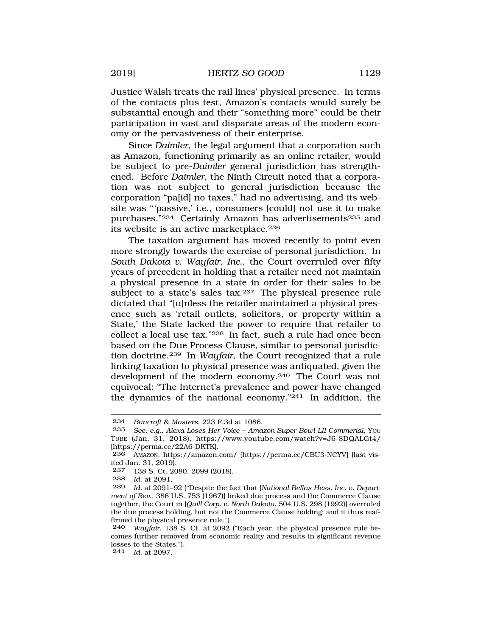Justice Walsh treats the rail lines' physical presence. In terms of the contacts plus test, Amazon's contacts would surely be substantial enough and their "something more" could be their participation in vast and disparate areas of the modern economy or the pervasiveness of their enterprise.

Since *Daimler*, the legal argument that a corporation such as Amazon, functioning primarily as an online retailer, would be subject to pre-*Daimler* general jurisdiction has strengthened. Before *Daimler*, the Ninth Circuit noted that a corporation was not subject to general jurisdiction because the corporation "pa[id] no taxes," had no advertising, and its website was "'passive,' i.e., consumers [could] not use it to make purchases."234 Certainly Amazon has advertisements235 and its website is an active marketplace.<sup>236</sup>

The taxation argument has moved recently to point even more strongly towards the exercise of personal jurisdiction. In *South Dakota v. Wayfair, Inc.*, the Court overruled over fifty years of precedent in holding that a retailer need not maintain a physical presence in a state in order for their sales to be subject to a state's sales tax.<sup>237</sup> The physical presence rule dictated that "[u]nless the retailer maintained a physical presence such as 'retail outlets, solicitors, or property within a State,' the State lacked the power to require that retailer to collect a local use tax."238 In fact, such a rule had once been based on the Due Process Clause, similar to personal jurisdiction doctrine.239 In *Wayfair*, the Court recognized that a rule linking taxation to physical presence was antiquated, given the development of the modern economy.240 The Court was not equivocal: "The Internet's prevalence and power have changed the dynamics of the national economy."241 In addition, the

241 *Id.* at 2097.

<sup>234</sup> *Bancroft & Masters*, 223 F.3d at 1086.

<sup>235</sup> *See, e.g.*, *Alexa Loses Her Voice – Amazon Super Bowl LII Commerial*, YOU TUBE (Jan. 31, 2018), https://www.youtube.com/watch?v=J6-8DQALGt4/ [https://perma.cc/22A6-DKTK].

<sup>236</sup> AMAZON, https://amazon.com/ [https://perma.cc/CBU3-NCYV] (last visited Jan. 31, 2019).<br>237 138 S Ct 20

<sup>138</sup> S. Ct. 2080, 2099 (2018).

<sup>238</sup> *Id.* at 2091.

Id. at 2091-92 ("Despite the fact that [National Bellas Hess, Inc. v. Depart*ment of Rev.*, 386 U.S. 753 (1967)] linked due process and the Commerce Clause together, the Court in [*Quill Corp. v. North Dakota*, 504 U.S. 298 (1992)] overruled the due process holding, but not the Commerce Clause holding; and it thus reaffirmed the physical presence rule.").

<sup>240</sup> *Wayfair*, 138 S. Ct. at 2092 ("Each year, the physical presence rule becomes further removed from economic reality and results in significant revenue losses to the States.").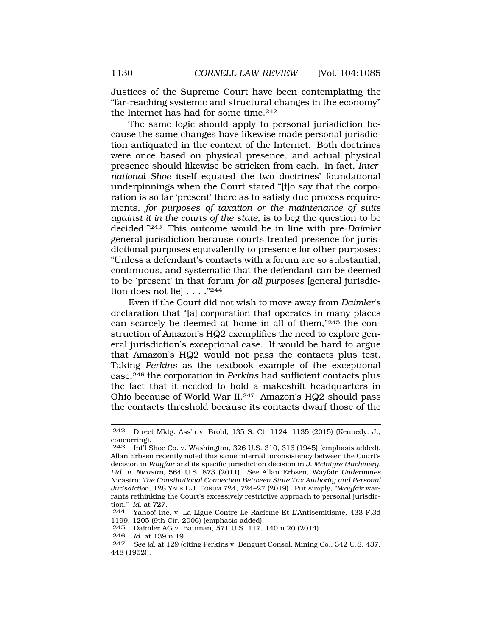Justices of the Supreme Court have been contemplating the "far-reaching systemic and structural changes in the economy" the Internet has had for some time.242

The same logic should apply to personal jurisdiction because the same changes have likewise made personal jurisdiction antiquated in the context of the Internet. Both doctrines were once based on physical presence, and actual physical presence should likewise be stricken from each. In fact, *International Shoe* itself equated the two doctrines' foundational underpinnings when the Court stated "[t]o say that the corporation is so far 'present' there as to satisfy due process requirements, *for purposes of taxation or the maintenance of suits against it in the courts of the state*, is to beg the question to be decided."243 This outcome would be in line with pre-*Daimler*  general jurisdiction because courts treated presence for jurisdictional purposes equivalently to presence for other purposes: "Unless a defendant's contacts with a forum are so substantial, continuous, and systematic that the defendant can be deemed to be 'present' in that forum *for all purposes* [general jurisdiction does not liel . . . . "244

Even if the Court did not wish to move away from *Daimler*'s declaration that "[a] corporation that operates in many places can scarcely be deemed at home in all of them,"245 the construction of Amazon's HQ2 exemplifies the need to explore general jurisdiction's exceptional case. It would be hard to argue that Amazon's HQ2 would not pass the contacts plus test. Taking *Perkins* as the textbook example of the exceptional case,246 the corporation in *Perkins* had sufficient contacts plus the fact that it needed to hold a makeshift headquarters in Ohio because of World War II.247 Amazon's HQ2 should pass the contacts threshold because its contacts dwarf those of the

246 *Id.* at 139 n.19.

<sup>242</sup> Direct Mktg. Ass'n v. Brohl, 135 S. Ct. 1124, 1135 (2015) (Kennedy, J., concurring).

<sup>243</sup> Int'l Shoe Co. v. Washington, 326 U.S. 310, 316 (1945) (emphasis added). Allan Erbsen recently noted this same internal inconsistency between the Court's decision in *Wayfair* and its specific jurisdiction decision in *J. McIntyre Machinery, Ltd. v. Nicastro*, 564 U.S. 873 (2011). *See* Allan Erbsen, Wayfair *Undermines*  Nicastro*: The Constitutional Connection Between State Tax Authority and Personal Jurisdiction*, 128 YALE L.J. FORUM 724, 724–27 (2019). Put simply, "*Wayfair* warrants rethinking the Court's excessively restrictive approach to personal jurisdiction." *Id.* at 727.

<sup>244</sup> Yahoo! Inc. v. La Ligue Contre Le Racisme Et L'Antisemitisme, 433 F.3d 1199, 1205 (9th Cir. 2006) (emphasis added).

Daimler AG v. Bauman, 571 U.S. 117, 140 n.20 (2014).

See id. at 129 (citing Perkins v. Benguet Consol. Mining Co., 342 U.S. 437, 448 (1952)).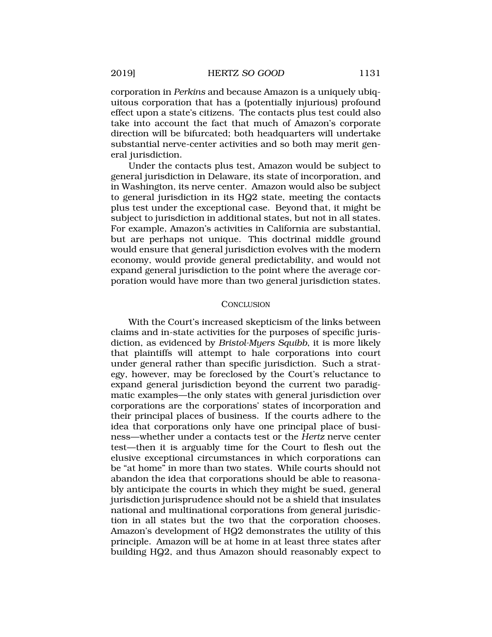<span id="page-46-0"></span>corporation in *Perkins* and because Amazon is a uniquely ubiquitous corporation that has a (potentially injurious) profound effect upon a state's citizens. The contacts plus test could also take into account the fact that much of Amazon's corporate direction will be bifurcated; both headquarters will undertake substantial nerve-center activities and so both may merit general jurisdiction.

Under the contacts plus test, Amazon would be subject to general jurisdiction in Delaware, its state of incorporation, and in Washington, its nerve center. Amazon would also be subject to general jurisdiction in its HQ2 state, meeting the contacts plus test under the exceptional case. Beyond that, it might be subject to jurisdiction in additional states, but not in all states. For example, Amazon's activities in California are substantial, but are perhaps not unique. This doctrinal middle ground would ensure that general jurisdiction evolves with the modern economy, would provide general predictability, and would not expand general jurisdiction to the point where the average corporation would have more than two general jurisdiction states.

#### **CONCLUSION**

With the Court's increased skepticism of the links between claims and in-state activities for the purposes of specific jurisdiction, as evidenced by *Bristol-Myers Squibb*, it is more likely that plaintiffs will attempt to hale corporations into court under general rather than specific jurisdiction. Such a strategy, however, may be foreclosed by the Court's reluctance to expand general jurisdiction beyond the current two paradigmatic examples—the only states with general jurisdiction over corporations are the corporations' states of incorporation and their principal places of business. If the courts adhere to the idea that corporations only have one principal place of business—whether under a contacts test or the *Hertz* nerve center test—then it is arguably time for the Court to flesh out the elusive exceptional circumstances in which corporations can be "at home" in more than two states. While courts should not abandon the idea that corporations should be able to reasonably anticipate the courts in which they might be sued, general jurisdiction jurisprudence should not be a shield that insulates national and multinational corporations from general jurisdiction in all states but the two that the corporation chooses. Amazon's development of HQ2 demonstrates the utility of this principle. Amazon will be at home in at least three states after building HQ2, and thus Amazon should reasonably expect to